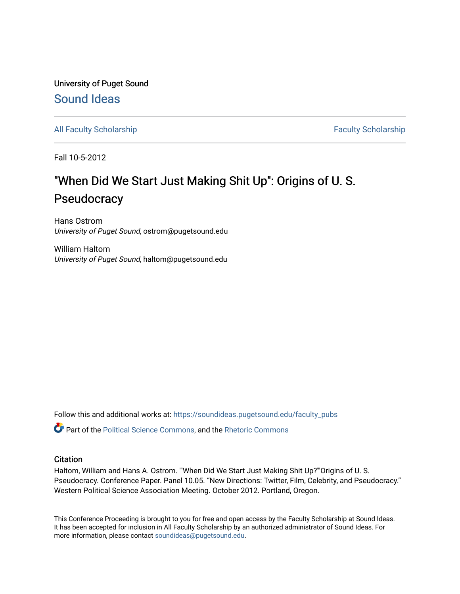### University of Puget Sound [Sound Ideas](https://soundideas.pugetsound.edu/)

[All Faculty Scholarship](https://soundideas.pugetsound.edu/faculty_pubs) **Faculty Scholarship Faculty Scholarship Faculty Scholarship** 

Fall 10-5-2012

## "When Did We Start Just Making Shit Up": Origins of U. S. **Pseudocracy**

Hans Ostrom University of Puget Sound, ostrom@pugetsound.edu

William Haltom University of Puget Sound, haltom@pugetsound.edu

Follow this and additional works at: [https://soundideas.pugetsound.edu/faculty\\_pubs](https://soundideas.pugetsound.edu/faculty_pubs?utm_source=soundideas.pugetsound.edu%2Ffaculty_pubs%2F3388&utm_medium=PDF&utm_campaign=PDFCoverPages) 

**P** Part of the [Political Science Commons,](https://network.bepress.com/hgg/discipline/386?utm_source=soundideas.pugetsound.edu%2Ffaculty_pubs%2F3388&utm_medium=PDF&utm_campaign=PDFCoverPages) and the [Rhetoric Commons](https://network.bepress.com/hgg/discipline/575?utm_source=soundideas.pugetsound.edu%2Ffaculty_pubs%2F3388&utm_medium=PDF&utm_campaign=PDFCoverPages)

#### **Citation**

Haltom, William and Hans A. Ostrom. "'When Did We Start Just Making Shit Up?'"Origins of U. S. Pseudocracy. Conference Paper. Panel 10.05. "New Directions: Twitter, Film, Celebrity, and Pseudocracy." Western Political Science Association Meeting. October 2012. Portland, Oregon.

This Conference Proceeding is brought to you for free and open access by the Faculty Scholarship at Sound Ideas. It has been accepted for inclusion in All Faculty Scholarship by an authorized administrator of Sound Ideas. For more information, please contact [soundideas@pugetsound.edu.](mailto:soundideas@pugetsound.edu)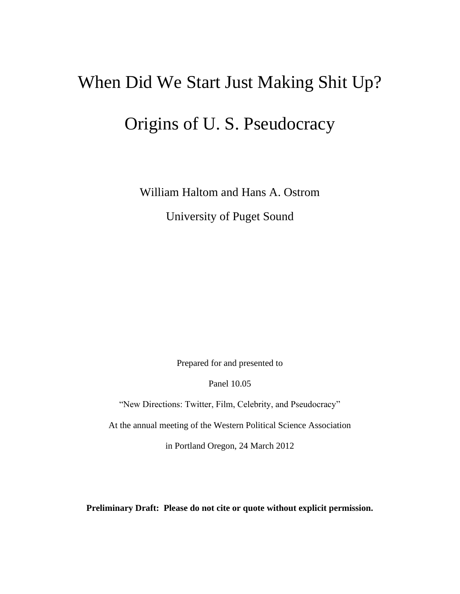# When Did We Start Just Making Shit Up? Origins of U. S. Pseudocracy

William Haltom and Hans A. Ostrom

University of Puget Sound

Prepared for and presented to

Panel 10.05

"New Directions: Twitter, Film, Celebrity, and Pseudocracy"

At the annual meeting of the Western Political Science Association

in Portland Oregon, 24 March 2012

**Preliminary Draft: Please do not cite or quote without explicit permission.**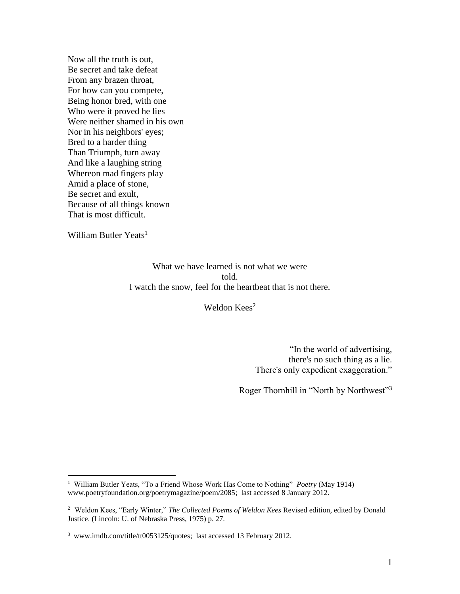Now all the truth is out, Be secret and take defeat From any brazen throat, For how can you compete, Being honor bred, with one Who were it proved he lies Were neither shamed in his own Nor in his neighbors' eyes; Bred to a harder thing Than Triumph, turn away And like a laughing string Whereon mad fingers play Amid a place of stone, Be secret and exult, Because of all things known That is most difficult.

William Butler Yeats<sup>1</sup>

What we have learned is not what we were told. I watch the snow, feel for the heartbeat that is not there.

Weldon Kees<sup>2</sup>

"In the world of advertising, there's no such thing as a lie. There's only expedient exaggeration."

Roger Thornhill in "North by Northwest"<sup>3</sup>

<sup>1</sup> William Butler Yeats, "To a Friend Whose Work Has Come to Nothing" *Poetry* (May 1914) [www.poetryfoundation.org/poetrymagazine/poem/2085;](http://www.poetryfoundation.org/poetrymagazine/poem/2085) last accessed 8 January 2012.

<sup>2</sup> Weldon Kees, "Early Winter," *The Collected Poems of Weldon Kees* Revised edition, edited by Donald Justice. (Lincoln: U. of Nebraska Press, 1975) p. 27.

<sup>&</sup>lt;sup>3</sup> [www.imdb.com/title/tt0053125/quotes;](http://www.imdb.com/title/tt0053125/quotes) last accessed 13 February 2012.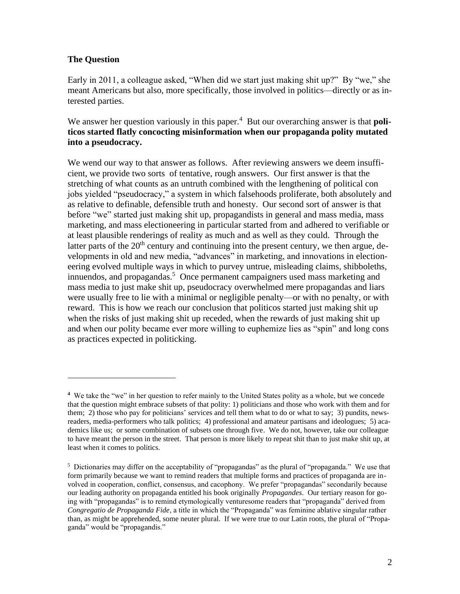#### **The Question**

Early in 2011, a colleague asked, "When did we start just making shit up?" By "we," she meant Americans but also, more specifically, those involved in politics—directly or as interested parties.

We answer her question variously in this paper.<sup>4</sup> But our overarching answer is that **politicos started flatly concocting misinformation when our propaganda polity mutated into a pseudocracy.**

We wend our way to that answer as follows. After reviewing answers we deem insufficient, we provide two sorts of tentative, rough answers. Our first answer is that the stretching of what counts as an untruth combined with the lengthening of political con jobs yielded "pseudocracy," a system in which falsehoods proliferate, both absolutely and as relative to definable, defensible truth and honesty. Our second sort of answer is that before "we" started just making shit up, propagandists in general and mass media, mass marketing, and mass electioneering in particular started from and adhered to verifiable or at least plausible renderings of reality as much and as well as they could. Through the latter parts of the  $20<sup>th</sup>$  century and continuing into the present century, we then argue, developments in old and new media, "advances" in marketing, and innovations in electioneering evolved multiple ways in which to purvey untrue, misleading claims, shibboleths, innuendos, and propagandas.<sup>5</sup> Once permanent campaigners used mass marketing and mass media to just make shit up, pseudocracy overwhelmed mere propagandas and liars were usually free to lie with a minimal or negligible penalty—or with no penalty, or with reward. This is how we reach our conclusion that politicos started just making shit up when the risks of just making shit up receded, when the rewards of just making shit up and when our polity became ever more willing to euphemize lies as "spin" and long cons as practices expected in politicking.

**<sup>4</sup>** We take the "we" in her question to refer mainly to the United States polity as a whole, but we concede that the question might embrace subsets of that polity: 1) politicians and those who work with them and for them; 2) those who pay for politicians' services and tell them what to do or what to say; 3) pundits, newsreaders, media-performers who talk politics; 4) professional and amateur partisans and ideologues; 5) academics like us; or some combination of subsets one through five. We do not, however, take our colleague to have meant the person in the street. That person is more likely to repeat shit than to just make shit up, at least when it comes to politics.

<sup>&</sup>lt;sup>5</sup> Dictionaries may differ on the acceptability of "propagandas" as the plural of "propaganda." We use that form primarily because we want to remind readers that multiple forms and practices of propaganda are involved in cooperation, conflict, consensus, and cacophony. We prefer "propagandas" secondarily because our leading authority on propaganda entitled his book originally *Propagandes*. Our tertiary reason for going with "propagandas" is to remind etymologically venturesome readers that "propaganda" derived from *Congregatio de Propaganda Fide*, a title in which the "Propaganda" was feminine ablative singular rather than, as might be apprehended, some neuter plural. If we were true to our Latin roots, the plural of "Propaganda" would be "propagandis."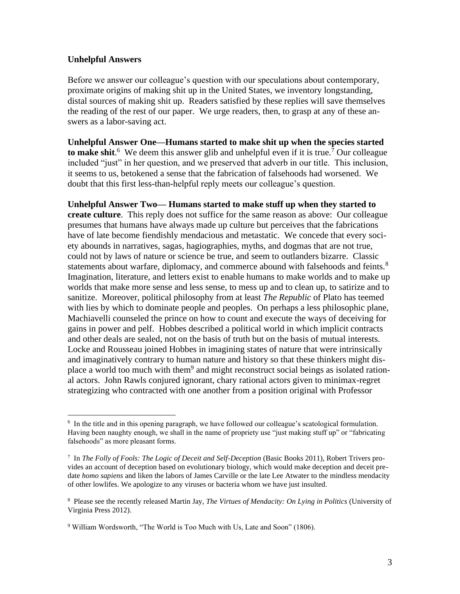#### **Unhelpful Answers**

Before we answer our colleague's question with our speculations about contemporary, proximate origins of making shit up in the United States, we inventory longstanding, distal sources of making shit up. Readers satisfied by these replies will save themselves the reading of the rest of our paper. We urge readers, then, to grasp at any of these answers as a labor-saving act.

**Unhelpful Answer One—Humans started to make shit up when the species started**  to make shit.<sup>6</sup> We deem this answer glib and unhelpful even if it is true.<sup>7</sup> Our colleague included "just" in her question, and we preserved that adverb in our title. This inclusion, it seems to us, betokened a sense that the fabrication of falsehoods had worsened. We doubt that this first less-than-helpful reply meets our colleague's question.

**Unhelpful Answer Two— Humans started to make stuff up when they started to create culture**. This reply does not suffice for the same reason as above: Our colleague presumes that humans have always made up culture but perceives that the fabrications have of late become fiendishly mendacious and metastatic. We concede that every society abounds in narratives, sagas, hagiographies, myths, and dogmas that are not true, could not by laws of nature or science be true, and seem to outlanders bizarre. Classic statements about warfare, diplomacy, and commerce abound with falsehoods and feints.<sup>8</sup> Imagination, literature, and letters exist to enable humans to make worlds and to make up worlds that make more sense and less sense, to mess up and to clean up, to satirize and to sanitize. Moreover, political philosophy from at least *The Republic* of Plato has teemed with lies by which to dominate people and peoples. On perhaps a less philosophic plane, Machiavelli counseled the prince on how to count and execute the ways of deceiving for gains in power and pelf. Hobbes described a political world in which implicit contracts and other deals are sealed, not on the basis of truth but on the basis of mutual interests. Locke and Rousseau joined Hobbes in imagining states of nature that were intrinsically and imaginatively contrary to human nature and history so that these thinkers might displace a world too much with them<sup>9</sup> and might reconstruct social beings as isolated rational actors. John Rawls conjured ignorant, chary rational actors given to minimax-regret strategizing who contracted with one another from a position original with Professor

<sup>&</sup>lt;sup>6</sup> In the title and in this opening paragraph, we have followed our colleague's scatological formulation. Having been naughty enough, we shall in the name of propriety use "just making stuff up" or "fabricating falsehoods" as more pleasant forms.

<sup>7</sup> In *The Folly of Fools: The Logic of Deceit and Self-Deception* (Basic Books 2011), Robert Trivers provides an account of deception based on evolutionary biology, which would make deception and deceit predate *homo sapiens* and liken the labors of James Carville or the late Lee Atwater to the mindless mendacity of other lowlifes. We apologize to any viruses or bacteria whom we have just insulted.

<sup>8</sup> Please see the recently released Martin Jay, *The Virtues of Mendacity: On Lying in Politics* (University of Virginia Press 2012).

<sup>9</sup> William Wordsworth, "The World is Too Much with Us, Late and Soon" (1806).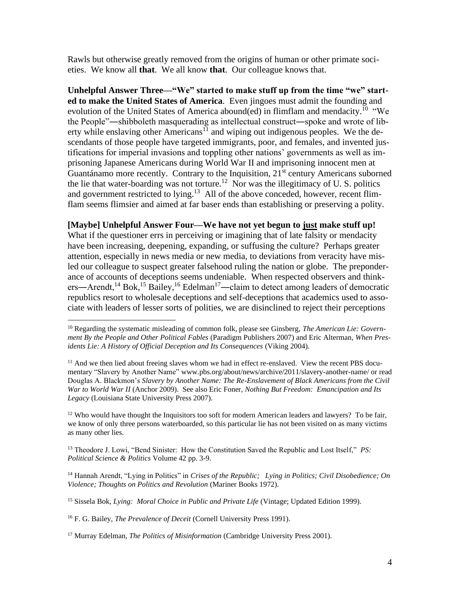Rawls but otherwise greatly removed from the origins of human or other primate societies. We know all **that**. We all know **that**. Our colleague knows that.

**Unhelpful Answer Three—"We" started to make stuff up from the time "we" started to make the United States of America**.Even jingoes must admit the founding and evolution of the United States of America abound(ed) in flimflam and mendacity.<sup>10</sup> "We the People"―shibboleth masquerading as intellectual construct―spoke and wrote of liberty while enslaving other Americans<sup>11</sup> and wiping out indigenous peoples. We the descendants of those people have targeted immigrants, poor, and females, and invented justifications for imperial invasions and toppling other nations' governments as well as imprisoning Japanese Americans during World War II and imprisoning innocent men at Guantánamo more recently. Contrary to the Inquisition,  $21<sup>st</sup>$  century Americans suborned the lie that water-boarding was not torture.<sup>12</sup> Nor was the illegitimacy of U.S. politics and government restricted to lying.<sup>13</sup> All of the above conceded, however, recent flimflam seems flimsier and aimed at far baser ends than establishing or preserving a polity.

#### **[Maybe] Unhelpful Answer Four—We have not yet begun to just make stuff up!**

What if the questioner errs in perceiving or imagining that of late falsity or mendacity have been increasing, deepening, expanding, or suffusing the culture? Perhaps greater attention, especially in news media or new media, to deviations from veracity have misled our colleague to suspect greater falsehood ruling the nation or globe. The preponderance of accounts of deceptions seems undeniable. When respected observers and thinkers—Arendt,<sup>14</sup> Bok,<sup>15</sup> Bailey,<sup>16</sup> Edelman<sup>17</sup>—claim to detect among leaders of democratic republics resort to wholesale deceptions and self-deceptions that academics used to associate with leaders of lesser sorts of polities, we are disinclined to reject their perceptions

 $<sup>11</sup>$  And we then lied about freeing slaves whom we had in effect re-enslaved. View the recent PBS docu-</sup> mentary "Slavery by Another Name" [www.pbs.org/about/news/archive/2011/slavery-another-name/](http://www.pbs.org/about/news/archive/2011/slavery-another-name/) or read Douglas A. Blackmon's *Slavery by Another Name: The Re-Enslavement of Black Americans from the Civil War to World War II* (Anchor 2009). See also Eric Foner, *Nothing But Freedom: Emancipation and Its Legacy* (Louisiana State University Press 2007).

 $12$  Who would have thought the Inquisitors too soft for modern American leaders and lawyers? To be fair, we know of only three persons waterboarded, so this particular lie has not been visited on as many victims as many other lies.

<sup>13</sup> Theodore J. Lowi, "Bend Sinister: How the Constitution Saved the Republic and Lost Itself," *PS: Political Science & Politics* Volume 42 pp. 3-9.

<sup>14</sup> Hannah Arendt, "Lying in Politics" in *Crises of the Republic; Lying in Politics; Civil Disobedience; On Violence; Thoughts on Politics and Revolution* (Mariner Books 1972).

<sup>15</sup> Sissela Bok, *Lying: Moral Choice in Public and Private Life* (Vintage; Updated Edition 1999).

<sup>16</sup> F. G. Bailey, *The Prevalence of Deceit* (Cornell University Press 1991).

<sup>17</sup> Murray Edelman, *The Politics of Misinformation* (Cambridge University Press 2001).

<sup>10</sup> Regarding the systematic misleading of common folk, please see Ginsberg, *The American Lie: Government By the People and Other Political Fables* (Paradigm Publishers 2007) and Eric Alterman, *When Presidents Lie: A History of Official Deception and Its Consequences* (Viking 2004).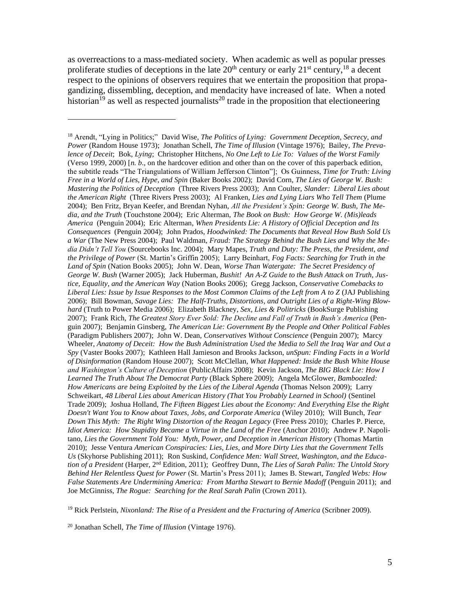as overreactions to a mass-mediated society. When academic as well as popular presses proliferate studies of deceptions in the late  $20<sup>th</sup>$  century or early  $21<sup>st</sup>$  century,<sup>18</sup> a decent respect to the opinions of observers requires that we entertain the proposition that propagandizing, dissembling, deception, and mendacity have increased of late. When a noted historian<sup>19</sup> as well as respected journalists<sup>20</sup> trade in the proposition that electioneering

<sup>19</sup> Rick Perlstein, *[Nixonland: The Rise of a President and the Fracturing of America](http://www.amazon.com/Nixonland-Rise-President-Fracturing-America/dp/B003E7ET0S/ref=sr_1_1?s=books&ie=UTF8&qid=1325602018&sr=1-1)* (Scribner 2009).

<sup>18</sup> Arendt, "Lying in Politics;" David Wise, *The Politics of Lying: Government Deception, Secrecy, and Power* (Random House 1973); Jonathan Schell, *The Time of Illusion* (Vintage 1976); Bailey, *The Prevalence of Deceit*; Bok, *Lying*; Christopher Hitchens, *No One Left to Lie To: Values of the Worst Family* (Verso 1999, 2000) [*n. b*., on the hardcover edition and other than on the cover of this paperback edition, the subtitle reads "The Triangulations of William Jefferson Clinton"]; Os Guinness, *Time for Truth: Living Free in a World of Lies, Hype, and Spin* (Baker Books 2002); David Corn, *[The Lies of George W. Bush:](http://www.amazon.com/The-Lies-George-Bush-Mastering/dp/B000AXRTWE/ref=sr_1_1?s=books&ie=UTF8&qid=1330910770&sr=1-1)  [Mastering the Politics of Deception](http://www.amazon.com/The-Lies-George-Bush-Mastering/dp/B000AXRTWE/ref=sr_1_1?s=books&ie=UTF8&qid=1330910770&sr=1-1)* (Three Rivers Press 2003); Ann Coulter, *Slander: Liberal Lies about the American Right* (Three Rivers Press 2003); Al Franken, *Lies and Lying Liars Who Tell Them* (Plume 2004); Ben Fritz, Bryan Keefer, and Brendan Nyhan, *All the President's Spin: George W. Bush, The Media, and the Truth* (Touchstone 2004); Eric Alterman, *The Book on Bush: How George W. (Mis)leads America* (Penguin 2004); Eric Alterman, *When Presidents Lie: A History of Official Deception and Its Consequences* (Penguin 2004); John Prados, *Hoodwinked: The Documents that Reveal How Bush Sold Us a War* (The New Press 2004); Paul Waldman, *Fraud: The Strategy Behind the Bush Lies and Why the Media Didn't Tell You* (Sourcebooks Inc. 2004); Mary Mapes, *Truth and Duty: The Press, the President, and the Privilege of Power* (St. Martin's Griffin 2005); Larry Beinhart, *Fog Facts: Searching for Truth in the Land of Spin* (Nation Books 2005); John W. Dean, *Worse Than Watergate: The Secret Presidency of George W. Bush* (Warner 2005); Jack Huberman, *Bushit! An A-Z Guide to the Bush Attack on Truth, Justice, Equality, and the American Way* (Nation Books 2006); Gregg Jackson, *Conservative Comebacks to Liberal Lies: Issue by Issue Responses to the Most Common Claims of the Left from A to Z* (JAJ Publishing 2006); Bill Bowman, *Savage Lies: The Half-Truths, Distortions, and Outright Lies of a Right-Wing Blowhard* (Truth to Power Media 2006); Elizabeth Blackney, *Sex, Lies & Politricks* (BookSurge Publishing 2007); Frank Rich, *The Greatest Story Ever Sold: The Decline and Fall of Truth in Bush's America* (Penguin 2007); Benjamin Ginsberg, *The American Lie: Government By the People and Other Political Fables*  (Paradigm Publishers 2007); John W. Dean, *Conservatives Without Conscience* (Penguin 2007); Marcy Wheeler, *Anatomy of Deceit: How the Bush Administration Used the Media to Sell the Iraq War and Out a Spy* (Vaster Books 2007); Kathleen Hall Jamieson and Brooks Jackson, *unSpun: Finding Facts in a World of Disinformation* (Random House 2007); Scott McClellan, *What Happened: Inside the Bush White House and Washington's Culture of Deception* (PublicAffairs 2008); Kevin Jackson, *The BIG Black Lie: How I Learned The Truth About The Democrat Party* (Black Sphere 2009); Angela McGlower, *[Bamboozled:](http://www.amazon.com/Bamboozled-Americans-Exploited-Liberal-Agenda/dp/1595553363/ref=sr_1_5?s=books&ie=UTF8&qid=1330912311&sr=1-5)  [How Americans are being Exploited by the Lies of the Liberal Agenda](http://www.amazon.com/Bamboozled-Americans-Exploited-Liberal-Agenda/dp/1595553363/ref=sr_1_5?s=books&ie=UTF8&qid=1330912311&sr=1-5)* (Thomas Nelson 2009); Larry Schweikart, *48 Liberal Lies about American History (That You Probably Learned in School)* (Sentinel Trade 2009); Joshua Holland, *The Fifteen Biggest Lies about the Economy: And Everything Else the Right Doesn't Want You to Know about Taxes, Jobs, and Corporate America* (Wiley 2010); Will Bunch, *Tear Down This Myth: The Right Wing Distortion of the Reagan Legacy* (Free Press 2010); Charles P. Pierce, *Idiot America: How Stupidity Became a Virtue in the Land of the Free* (Anchor 2010); Andrew P. Napolitano, *Lies the Government Told You: Myth, Power, and Deception in American History* (Thomas Martin 2010); Jesse Ventura *American Conspiracies: Lies, Lies, and More Dirty Lies that the Government Tells Us* (Skyhorse Publishing 2011); Ron Suskind, *Confidence Men: Wall Street, Washington, and the Education of a President* (Harper, 2nd Edition, 2011); Geoffrey Dunn, *[The Lies of Sarah Palin:](http://www.amazon.com/The-Lies-Sarah-Palin-Relentless/dp/0312601867/ref=sr_1_1?s=books&ie=UTF8&qid=1330910367&sr=1-1) The Untold Story [Behind Her Relentless Quest for Power](http://www.amazon.com/The-Lies-Sarah-Palin-Relentless/dp/0312601867/ref=sr_1_1?s=books&ie=UTF8&qid=1330910367&sr=1-1)* (St. Martin's Press 2011); James B. Stewart, *Tangled Webs: How False Statements Are Undermining America: From Martha Stewart to Bernie Madoff* (Penguin 2011); and Joe McGinniss, *The Rogue: Searching for the Real Sarah Palin* (Crown 2011).

<sup>20</sup> Jonathan Schell, *The Time of Illusion* (Vintage 1976).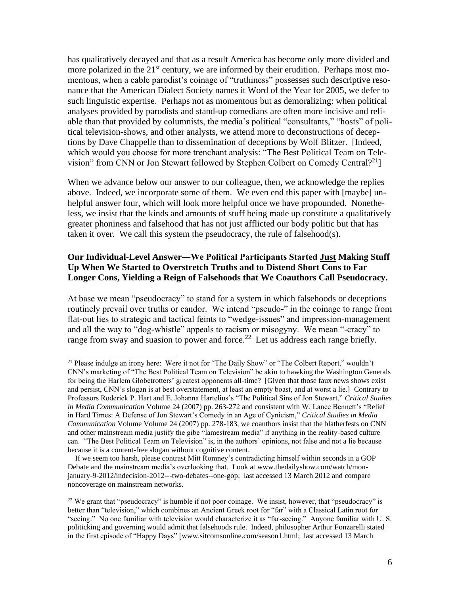has qualitatively decayed and that as a result America has become only more divided and more polarized in the  $21<sup>st</sup>$  century, we are informed by their erudition. Perhaps most momentous, when a cable parodist's coinage of "truthiness" possesses such descriptive resonance that the American Dialect Society names it Word of the Year for 2005, we defer to such linguistic expertise. Perhaps not as momentous but as demoralizing: when political analyses provided by parodists and stand-up comedians are often more incisive and reliable than that provided by columnists, the media's political "consultants," "hosts" of political television-shows, and other analysts, we attend more to deconstructions of deceptions by Dave Chappelle than to dissemination of deceptions by Wolf Blitzer. [Indeed, which would you choose for more trenchant analysis: "The Best Political Team on Television" from CNN or Jon Stewart followed by Stephen Colbert on Comedy Central?<sup>21</sup>]

When we advance below our answer to our colleague, then, we acknowledge the replies above. Indeed, we incorporate some of them. We even end this paper with [maybe] unhelpful answer four, which will look more helpful once we have propounded. Nonetheless, we insist that the kinds and amounts of stuff being made up constitute a qualitatively greater phoniness and falsehood that has not just afflicted our body politic but that has taken it over. We call this system the pseudocracy, the rule of falsehood(s).

#### **Our Individual-Level Answer―We Political Participants Started Just Making Stuff Up When We Started to Overstretch Truths and to Distend Short Cons to Far Longer Cons, Yielding a Reign of Falsehoods that We Coauthors Call Pseudocracy.**

At base we mean "pseudocracy" to stand for a system in which falsehoods or deceptions routinely prevail over truths or candor. We intend "pseudo-" in the coinage to range from flat-out lies to strategic and tactical feints to "wedge-issues" and impression-management and all the way to "dog-whistle" appeals to racism or misogyny. We mean "-cracy" to range from sway and suasion to power and force.<sup>22</sup> Let us address each range briefly.

<sup>&</sup>lt;sup>21</sup> Please indulge an irony here: Were it not for "The Daily Show" or "The Colbert Report," wouldn't CNN's marketing of "The Best Political Team on Television" be akin to hawking the Washington Generals for being the Harlem Globetrotters' greatest opponents all-time? [Given that those faux news shows exist and persist, CNN's slogan is at best overstatement, at least an empty boast, and at worst a lie.] Contrary to Professors Roderick P. Hart and E. Johanna Hartelius's "The Political Sins of Jon Stewart," *Critical Studies in Media Communication* Volume 24 (2007) pp. 263-272 and consistent with W. Lance Bennett's "Relief in Hard Times: A Defense of Jon Stewart's Comedy in an Age of Cynicism," *Critical Studies in Media Communication* Volume Volume 24 (2007) pp. 278-183, we coauthors insist that the blatherfests on CNN and other mainstream media justify the gibe "lamestream media" if anything in the reality-based culture can. "The Best Political Team on Television" is, in the authors' opinions, not false and not a lie because because it is a content-free slogan without cognitive content.

If we seem too harsh, please contrast Mitt Romney's contradicting himself within seconds in a GOP Debate and the mainstream media's overlooking that. Look a[t www.thedailyshow.com/watch/mon](http://www.thedailyshow.com/watch/mon-january-9-2012/indecision-2012---two-debates--one-gop)[january-9-2012/indecision-2012---two-debates--one-gop;](http://www.thedailyshow.com/watch/mon-january-9-2012/indecision-2012---two-debates--one-gop) last accessed 13 March 2012 and compare noncoverage on mainstream networks.

<sup>&</sup>lt;sup>22</sup> We grant that "pseudocracy" is humble if not poor coinage. We insist, however, that "pseudocracy" is better than "television," which combines an Ancient Greek root for "far" with a Classical Latin root for "seeing." No one familiar with television would characterize it as "far-seeing." Anyone familiar with U. S. politicking and governing would admit that falsehoods rule. Indeed, philosopher Arthur Fonzarelli stated in the first episode of "Happy Days" [\[www.sitcomsonline.com/season1.html;](http://www.sitcomsonline.com/season1.html) last accessed 13 March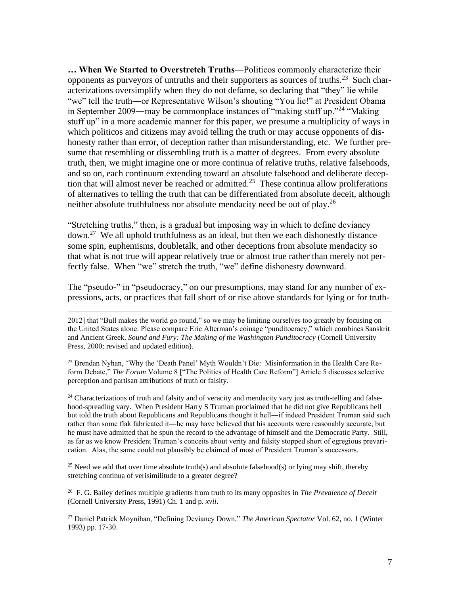**… When We Started to Overstretch Truths**―Politicos commonly characterize their opponents as purveyors of untruths and their supporters as sources of truths.<sup>23</sup> Such characterizations oversimplify when they do not defame, so declaring that "they" lie while "we" tell the truth―or Representative Wilson's shouting "You lie!" at President Obama in September 2009―may be commonplace instances of "making stuff up."<sup>24</sup> "Making stuff up" in a more academic manner for this paper, we presume a multiplicity of ways in which politicos and citizens may avoid telling the truth or may accuse opponents of dishonesty rather than error, of deception rather than misunderstanding, etc. We further presume that resembling or dissembling truth is a matter of degrees. From every absolute truth, then, we might imagine one or more continua of relative truths, relative falsehoods, and so on, each continuum extending toward an absolute falsehood and deliberate deception that will almost never be reached or admitted.<sup>25</sup> These continua allow proliferations of alternatives to telling the truth that can be differentiated from absolute deceit, although neither absolute truthfulness nor absolute mendacity need be out of play.<sup>26</sup>

"Stretching truths," then, is a gradual but imposing way in which to define deviancy down.<sup>27</sup> We all uphold truthfulness as an ideal, but then we each dishonestly distance some spin, euphemisms, doubletalk, and other deceptions from absolute mendacity so that what is not true will appear relatively true or almost true rather than merely not perfectly false. When "we" stretch the truth, "we" define dishonesty downward.

The "pseudo-" in "pseudocracy," on our presumptions, may stand for any number of expressions, acts, or practices that fall short of or rise above standards for lying or for truth-

2012] that "Bull makes the world go round," so we may be limiting ourselves too greatly by focusing on the United States alone. Please compare Eric Alterman's coinage "punditocracy," which combines Sanskrit and Ancient Greek. *Sound and Fury: The Making of the Washington Punditocracy* (Cornell University Press, 2000; revised and updated edition).

<sup>23</sup> Brendan Nyhan, "Why the 'Death Panel' Myth Wouldn't Die: Misinformation in the Health Care Reform Debate," *The Forum* Volume 8 ["The Politics of Health Care Reform"] Article 5 discusses selective perception and partisan attributions of truth or falsity.

 $^{24}$  Characterizations of truth and falsity and of veracity and mendacity vary just as truth-telling and falsehood-spreading vary. When President Harry S Truman proclaimed that he did not give Republicans hell but told the truth about Republicans and Republicans thought it hell―if indeed President Truman said such rather than some flak fabricated it—he may have believed that his accounts were reasonably accurate, but he must have admitted that he spun the record to the advantage of himself and the Democratic Party. Still, as far as we know President Truman's conceits about verity and falsity stopped short of egregious prevarication. Alas, the same could not plausibly be claimed of most of President Truman's successors.

<sup>25</sup> Need we add that over time absolute truth(s) and absolute falsehood(s) or lying may shift, thereby stretching continua of verisimilitude to a greater degree?

26 F. G. Bailey defines multiple gradients from truth to its many opposites in *The Prevalence of Deceit* (Cornell University Press, 1991) Ch. 1 and p. *xvii*.

<sup>27</sup> Daniel Patrick Moynihan, "Defining Deviancy Down," *The American Spectator* Vol. 62, no. 1 (Winter 1993) pp. 17-30.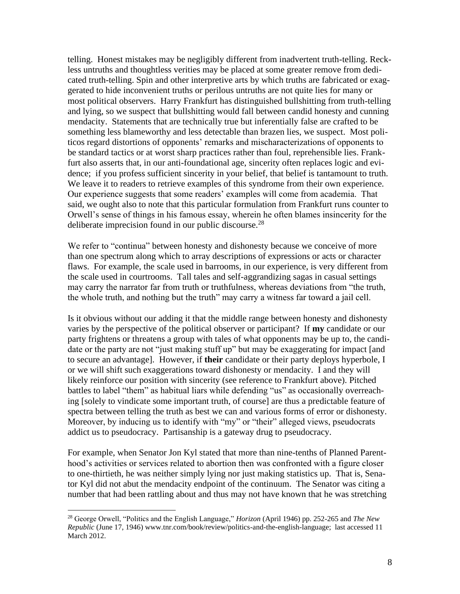telling. Honest mistakes may be negligibly different from inadvertent truth-telling. Reckless untruths and thoughtless verities may be placed at some greater remove from dedicated truth-telling. Spin and other interpretive arts by which truths are fabricated or exaggerated to hide inconvenient truths or perilous untruths are not quite lies for many or most political observers. Harry Frankfurt has distinguished bullshitting from truth-telling and lying, so we suspect that bullshitting would fall between candid honesty and cunning mendacity. Statements that are technically true but inferentially false are crafted to be something less blameworthy and less detectable than brazen lies, we suspect. Most politicos regard distortions of opponents' remarks and mischaracterizations of opponents to be standard tactics or at worst sharp practices rather than foul, reprehensible lies. Frankfurt also asserts that, in our anti-foundational age, sincerity often replaces logic and evidence; if you profess sufficient sincerity in your belief, that belief is tantamount to truth. We leave it to readers to retrieve examples of this syndrome from their own experience. Our experience suggests that some readers' examples will come from academia. That said, we ought also to note that this particular formulation from Frankfurt runs counter to Orwell's sense of things in his famous essay, wherein he often blames insincerity for the deliberate imprecision found in our public discourse.<sup>28</sup>

We refer to "continua" between honesty and dishonesty because we conceive of more than one spectrum along which to array descriptions of expressions or acts or character flaws. For example, the scale used in barrooms, in our experience, is very different from the scale used in courtrooms. Tall tales and self-aggrandizing sagas in casual settings may carry the narrator far from truth or truthfulness, whereas deviations from "the truth, the whole truth, and nothing but the truth" may carry a witness far toward a jail cell.

Is it obvious without our adding it that the middle range between honesty and dishonesty varies by the perspective of the political observer or participant? If **my** candidate or our party frightens or threatens a group with tales of what opponents may be up to, the candidate or the party are not "just making stuff up" but may be exaggerating for impact [and to secure an advantage]. However, if **their** candidate or their party deploys hyperbole, I or we will shift such exaggerations toward dishonesty or mendacity. I and they will likely reinforce our position with sincerity (see reference to Frankfurt above). Pitched battles to label "them" as habitual liars while defending "us" as occasionally overreaching [solely to vindicate some important truth, of course] are thus a predictable feature of spectra between telling the truth as best we can and various forms of error or dishonesty. Moreover, by inducing us to identify with "my" or "their" alleged views, pseudocrats addict us to pseudocracy. Partisanship is a gateway drug to pseudocracy.

For example, when Senator Jon Kyl stated that more than nine-tenths of Planned Parenthood's activities or services related to abortion then was confronted with a figure closer to one-thirtieth, he was neither simply lying nor just making statistics up. That is, Senator Kyl did not abut the mendacity endpoint of the continuum. The Senator was citing a number that had been rattling about and thus may not have known that he was stretching

<sup>28</sup> George Orwell, "Politics and the English Language," *Horizon* (April 1946) pp. 252-265 and *The New Republic* (June 17, 1946) www.tnr.com/book/review/politics-and-the-english-language; last accessed 11 March 2012.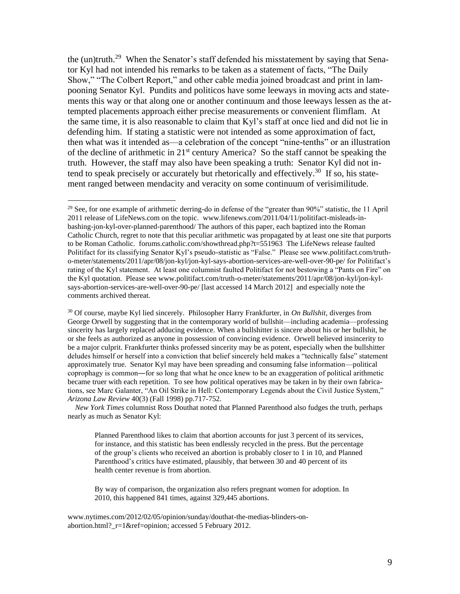the (un)truth.<sup>29</sup> When the Senator's staff defended his misstatement by saying that Senator Kyl had not intended his remarks to be taken as a statement of facts, "The Daily Show," "The Colbert Report," and other cable media joined broadcast and print in lampooning Senator Kyl. Pundits and politicos have some leeways in moving acts and statements this way or that along one or another continuum and those leeways lessen as the attempted placements approach either precise measurements or convenient flimflam. At the same time, it is also reasonable to claim that Kyl's staff at once lied and did not lie in defending him. If stating a statistic were not intended as some approximation of fact, then what was it intended as—a celebration of the concept "nine-tenths" or an illustration of the decline of arithmetic in  $21<sup>st</sup>$  century America? So the staff cannot be speaking the truth. However, the staff may also have been speaking a truth: Senator Kyl did not intend to speak precisely or accurately but rhetorically and effectively.<sup>30</sup> If so, his statement ranged between mendacity and veracity on some continuum of verisimilitude.

 *New York Times* columnist Ross Douthat noted that Planned Parenthood also fudges the truth, perhaps nearly as much as Senator Kyl:

Planned Parenthood likes to claim that abortion accounts for just 3 percent of its services, for instance, and this statistic has been endlessly [recycled in the press.](http://www.washingtonpost.com/blogs/ezra-klein/post/what-planned-parenthood-actually-does/2011/04/06/AFhBPa2C_blog.html) But th[e percentage](http://www.plannedparenthood.org/files/PPFA/PP_Services.pdf)  [of the group's clients](http://www.plannedparenthood.org/files/PPFA/PP_Services.pdf) who received an abortion is probably closer to 1 in 10, and Planned Parenthood's [critics have estimated,](http://www.weeklystandard.com/print/Content/Public/Articles/000/000/014/223livny.asp) plausibly, that between 30 and 40 percent of its health center revenue is from abortion.

By way of comparison, the organization also refers pregnant women for adoption. In 2010, this happened 841 times, against 329,445 abortions.

[www.nytimes.com/2012/02/05/opinion/sunday/douthat-the-medias-blinders-on](http://www.nytimes.com/2012/02/05/opinion/sunday/douthat-the-medias-blinders-on-abortion.html?_r=1&ref=opinion)[abortion.html?\\_r=1&ref=opinion;](http://www.nytimes.com/2012/02/05/opinion/sunday/douthat-the-medias-blinders-on-abortion.html?_r=1&ref=opinion) accessed 5 February 2012.

<sup>&</sup>lt;sup>29</sup> See, for one example of arithmetic derring-do in defense of the "greater than  $90\%$ " statistic, the 11 April 2011 release of LifeNews.com on the topic. [www.lifenews.com/2011/04/11/politifact-misleads-in](http://www.lifenews.com/2011/04/11/politifact-misleads-in-bashing-jon-kyl-over-planned-parenthood/)[bashing-jon-kyl-over-planned-parenthood/](http://www.lifenews.com/2011/04/11/politifact-misleads-in-bashing-jon-kyl-over-planned-parenthood/) The authors of this paper, each baptized into the Roman Catholic Church, regret to note that this peculiar arithmetic was propagated by at least one site that purports to be Roman Catholic. [forums.catholic.com/showthread.php?t=551963](http://forums.catholic.com/showthread.php?t=551963) The LifeNews release faulted Politifact for its classifying Senator Kyl's pseudo-statistic as "False." Please see [www.politifact.com/truth](http://www.politifact.com/truth-o-meter/statements/2011/apr/08/jon-kyl/jon-kyl-says-abortion-services-are-well-over-90-pe/)[o-meter/statements/2011/apr/08/jon-kyl/jon-kyl-says-abortion-services-are-well-over-90-pe/](http://www.politifact.com/truth-o-meter/statements/2011/apr/08/jon-kyl/jon-kyl-says-abortion-services-are-well-over-90-pe/) for Politifact's rating of the Kyl statement. At least one columnist faulted Politifact for not bestowing a "Pants on Fire" on the Kyl quotation. Please see [www.politifact.com/truth-o-meter/statements/2011/apr/08/jon-kyl/jon-kyl](http://www.politifact.com/truth-o-meter/statements/2011/apr/08/jon-kyl/jon-kyl-says-abortion-services-are-well-over-90-pe/)[says-abortion-services-are-well-over-90-pe/](http://www.politifact.com/truth-o-meter/statements/2011/apr/08/jon-kyl/jon-kyl-says-abortion-services-are-well-over-90-pe/) [last accessed 14 March 2012] and especially note the comments archived thereat.

<sup>30</sup> Of course, maybe Kyl lied sincerely. Philosopher Harry Frankfurter, in *On Bullshit,* diverges from George Orwell by suggesting that in the contemporary world of bullshit—including academia—professing sincerity has largely replaced adducing evidence. When a bullshitter is sincere about his or her bullshit, he or she feels as authorized as anyone in possession of convincing evidence. Orwell believed insincerity to be a major culprit. Frankfurter thinks professed sincerity may be as potent, especially when the bullshitter deludes himself or herself into a conviction that belief sincerely held makes a "technically false" statement approximately true. Senator Kyl may have been spreading and consuming false information—political coprophagy is common―for so long that what he once knew to be an exaggeration of political arithmetic became truer with each repetition. To see how political operatives may be taken in by their own fabrications, see Marc Galanter, "An Oil Strike in Hell: Contemporary Legends about the Civil Justice System," *Arizona Law Review* 40(3) (Fall 1998) pp.717-752.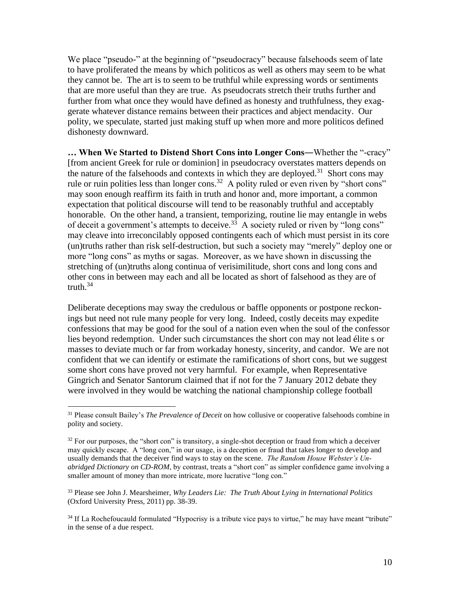We place "pseudo-" at the beginning of "pseudocracy" because falsehoods seem of late to have proliferated the means by which politicos as well as others may seem to be what they cannot be. The art is to seem to be truthful while expressing words or sentiments that are more useful than they are true. As pseudocrats stretch their truths further and further from what once they would have defined as honesty and truthfulness, they exaggerate whatever distance remains between their practices and abject mendacity. Our polity, we speculate, started just making stuff up when more and more politicos defined dishonesty downward.

**… When We Started to Distend Short Cons into Longer Cons**―Whether the "-cracy" [from ancient Greek for rule or dominion] in pseudocracy overstates matters depends on the nature of the falsehoods and contexts in which they are deployed.<sup>31</sup> Short cons may rule or ruin polities less than longer cons.<sup>32</sup> A polity ruled or even riven by "short cons" may soon enough reaffirm its faith in truth and honor and, more important, a common expectation that political discourse will tend to be reasonably truthful and acceptably honorable. On the other hand, a transient, temporizing, routine lie may entangle in webs of deceit a government's attempts to deceive.<sup>33</sup> A society ruled or riven by "long cons" may cleave into irreconcilably opposed contingents each of which must persist in its core (un)truths rather than risk self-destruction, but such a society may "merely" deploy one or more "long cons" as myths or sagas. Moreover, as we have shown in discussing the stretching of (un)truths along continua of verisimilitude, short cons and long cons and other cons in between may each and all be located as short of falsehood as they are of truth. $34$ 

Deliberate deceptions may sway the credulous or baffle opponents or postpone reckonings but need not rule many people for very long. Indeed, costly deceits may expedite confessions that may be good for the soul of a nation even when the soul of the confessor lies beyond redemption. Under such circumstances the short con may not lead élite s or masses to deviate much or far from workaday honesty, sincerity, and candor. We are not confident that we can identify or estimate the ramifications of short cons, but we suggest some short cons have proved not very harmful. For example, when Representative Gingrich and Senator Santorum claimed that if not for the 7 January 2012 debate they were involved in they would be watching the national championship college football

<sup>31</sup> Please consult Bailey's *The Prevalence of Deceit* on how collusive or cooperative falsehoods combine in polity and society.

 $32$  For our purposes, the "short con" is transitory, a single-shot deception or fraud from which a deceiver may quickly escape. A "long con," in our usage, is a deception or fraud that takes longer to develop and usually demands that the deceiver find ways to stay on the scene. *The Random House Webster's Unabridged Dictionary on CD-ROM*, by contrast, treats a "short con" as simpler confidence game involving a smaller amount of money than more intricate, more lucrative "long con."

<sup>33</sup> Please see John J. Mearsheimer, *Why Leaders Lie: The Truth About Lying in International Politics* (Oxford University Press, 2011) pp. 38-39.

<sup>&</sup>lt;sup>34</sup> If La Rochefoucauld formulated "Hypocrisy is a tribute vice pays to virtue," he may have meant "tribute" in the sense of a due respect.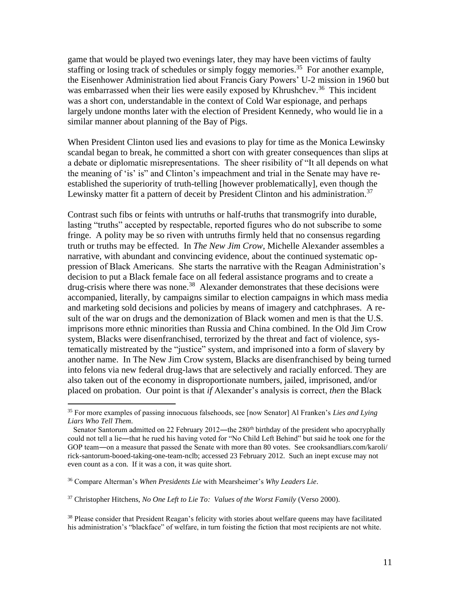game that would be played two evenings later, they may have been victims of faulty staffing or losing track of schedules or simply foggy memories.<sup>35</sup> For another example, the Eisenhower Administration lied about Francis Gary Powers' U-2 mission in 1960 but was embarrassed when their lies were easily exposed by Khrushchev.<sup>36</sup> This incident was a short con, understandable in the context of Cold War espionage, and perhaps largely undone months later with the election of President Kennedy, who would lie in a similar manner about planning of the Bay of Pigs.

When President Clinton used lies and evasions to play for time as the Monica Lewinsky scandal began to break, he committed a short con with greater consequences than slips at a debate or diplomatic misrepresentations. The sheer risibility of "It all depends on what the meaning of 'is' is" and Clinton's impeachment and trial in the Senate may have reestablished the superiority of truth-telling [however problematically], even though the Lewinsky matter fit a pattern of deceit by President Clinton and his administration.<sup>37</sup>

Contrast such fibs or feints with untruths or half-truths that transmogrify into durable, lasting "truths" accepted by respectable, reported figures who do not subscribe to some fringe. A polity may be so riven with untruths firmly held that no consensus regarding truth or truths may be effected. In *The New Jim Crow,* Michelle Alexander assembles a narrative, with abundant and convincing evidence, about the continued systematic oppression of Black Americans. She starts the narrative with the Reagan Administration's decision to put a Black female face on all federal assistance programs and to create a drug-crisis where there was none.<sup>38</sup> Alexander demonstrates that these decisions were accompanied, literally, by campaigns similar to election campaigns in which mass media and marketing sold decisions and policies by means of imagery and catchphrases. A result of the war on drugs and the demonization of Black women and men is that the U.S. imprisons more ethnic minorities than Russia and China combined. In the Old Jim Crow system, Blacks were disenfranchised, terrorized by the threat and fact of violence, systematically mistreated by the "justice" system, and imprisoned into a form of slavery by another name. In The New Jim Crow system, Blacks are disenfranchised by being turned into felons via new federal drug-laws that are selectively and racially enforced. They are also taken out of the economy in disproportionate numbers, jailed, imprisoned, and/or placed on probation. Our point is that *if* Alexander's analysis is correct, *then* the Black

<sup>35</sup> For more examples of passing innocuous falsehoods, see [now Senator] Al Franken's *Lies and Lying Liars Who Tell Them*.

Senator Santorum admitted on 22 February 2012—the 280<sup>th</sup> birthday of the president who apocryphally could not tell a lie—that he rued his having voted for "No Child Left Behind" but said he took one for the GOP team—on a measure that passed the Senate with more than 80 votes. See crooksandliars.com/karoli/ [rick-santorum-booed-taking-one-team-nclb;](http://crooksandliars.com/karoli/rick-santorum-booed-taking-one-team-nclb) accessed 23 February 2012. Such an inept excuse may not even count as a con. If it was a con, it was quite short.

<sup>36</sup> Compare Alterman's *When Presidents Lie* with Mearsheimer's *Why Leaders Lie*.

<sup>37</sup> Christopher Hitchens, *No One Left to Lie To: Values of the Worst Family* (Verso 2000).

<sup>&</sup>lt;sup>38</sup> Please consider that President Reagan's felicity with stories about welfare queens may have facilitated his administration's "blackface" of welfare, in turn foisting the fiction that most recipients are not white.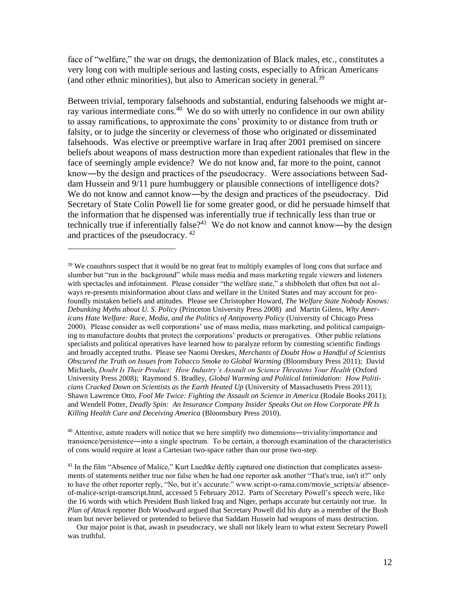face of "welfare," the war on drugs, the demonization of Black males, etc., constitutes a very long con with multiple serious and lasting costs, especially to African Americans (and other ethnic minorities), but also to American society in general.<sup>39</sup>

Between trivial, temporary falsehoods and substantial, enduring falsehoods we might array various intermediate cons.<sup>40</sup> We do so with utterly no confidence in our own ability to assay ramifications, to approximate the cons' proximity to or distance from truth or falsity, or to judge the sincerity or cleverness of those who originated or disseminated falsehoods. Was elective or preemptive warfare in Iraq after 2001 premised on sincere beliefs about weapons of mass destruction more than expedient rationales that flew in the face of seemingly ample evidence? We do not know and, far more to the point, cannot know―by the design and practices of the pseudocracy. Were associations between Saddam Hussein and 9/11 pure humbuggery or plausible connections of intelligence dots? We do not know and cannot know—by the design and practices of the pseudocracy. Did Secretary of State Colin Powell lie for some greater good, or did he persuade himself that the information that he dispensed was inferentially true if technically less than true or technically true if inferentially false?<sup>41</sup> We do not know and cannot know—by the design and practices of the pseudocracy. <sup>42</sup>

 $40$  Attentive, astute readers will notice that we here simplify two dimensions—triviality/importance and transience/persistence―into a single spectrum. To be certain, a thorough examination of the characteristics of cons would require at least a Cartesian two-space rather than our prose two-step.

<sup>41</sup> In the film "Absence of Malice," Kurt Luedtke deftly captured one distinction that complicates assessments of statements neither true nor false when he had one reporter ask another "That's true, isn't it?" only to have the other reporter reply, "No, but it's accurate." www.script-o-rama.com/movie\_scripts/a/ absenceof-malice-script-transcript.html, accessed 5 February 2012. Parts of Secretary Powell's speech were, like the 16 words with which President Bush linked Iraq and Niger, perhaps accurate but certainly not true. In *Plan of Attack* reporter Bob Woodward argued that Secretary Powell did his duty as a member of the Bush team but never believed or pretended to believe that Saddam Hussein had weapons of mass destruction*.*

 Our major point is that, awash in pseudocracy, we shall not likely learn to what extent Secretary Powell was truthful.

<sup>&</sup>lt;sup>39</sup> We coauthors suspect that it would be no great feat to multiply examples of long cons that surface and slumber but "run in the background" while mass media and mass marketing regale viewers and listeners with spectacles and infotainment. Please consider "the welfare state," a shibboleth that often but not always re-presents misinformation about class and welfare in the United States and may account for profoundly mistaken beliefs and attitudes. Please see Christopher Howard, *The Welfare State Nobody Knows: Debunking Myths about U. S. Policy* (Princeton University Press 2008) and Martin Gilens, *Why Americans Hate Welfare: Race, Media, and the Politics of Antipoverty Policy* (University of Chicago Press 2000). Please consider as well corporations' use of mass media, mass marketing, and political campaigning to manufacture doubts that protect the corporations' products or prerogatives. Other public relations specialists and political operatives have learned how to paralyze reform by contesting scientific findings and broadly accepted truths. Please see Naomi Oreskes, *Merchants of Doubt [How a Handful of Scientists](http://www.amazon.com/Merchants-Doubt-Handful-Scientists-Obscured/dp/1608193942/ref=sr_1_1?s=books&ie=UTF8&qid=1331430165&sr=1-1)  [Obscured the Truth on Issues from Tobacco Smoke to Global Warming](http://www.amazon.com/Merchants-Doubt-Handful-Scientists-Obscured/dp/1608193942/ref=sr_1_1?s=books&ie=UTF8&qid=1331430165&sr=1-1)* (Bloomsbury Press 2011); David Michaels, *Doubt Is Their Product: How Industry's Assault on Science Threatens Your Health* (Oxford University Press 2008); Raymond S. Bradley, *Global Warming and Political Intimidation: How Politicians Cracked Down on Scientists as the Earth Heated Up* (University of Massachusetts Press 2011); Shawn Lawrence Otto, *Fool Me Twice: Fighting the Assault on Science in America* (Rodale Books 2011); and Wendell Potter, *Deadly Spin: An Insurance Company Insider Speaks Out on How Corporate PR Is Killing Health Care and Deceiving America* (Bloomsbury Press 2010).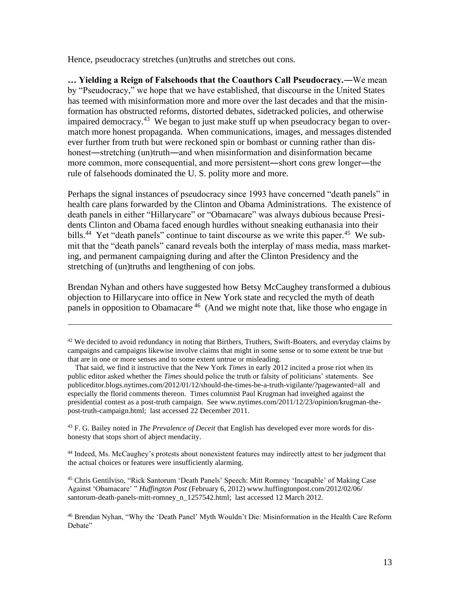Hence, pseudocracy stretches (un)truths and stretches out cons.

**… Yielding a Reign of Falsehoods that the Coauthors Call Pseudocracy.**―We mean by "Pseudocracy," we hope that we have established, that discourse in the United States has teemed with misinformation more and more over the last decades and that the misinformation has obstructed reforms, distorted debates, sidetracked policies, and otherwise impaired democracy.<sup>43</sup> We began to just make stuff up when pseudocracy began to overmatch more honest propaganda. When communications, images, and messages distended ever further from truth but were reckoned spin or bombast or cunning rather than dishonest—stretching (un)truth—and when misinformation and disinformation became more common, more consequential, and more persistent―short cons grew longer―the rule of falsehoods dominated the U. S. polity more and more.

Perhaps the signal instances of pseudocracy since 1993 have concerned "death panels" in health care plans forwarded by the Clinton and Obama Administrations. The existence of death panels in either "Hillarycare" or "Obamacare" was always dubious because Presidents Clinton and Obama faced enough hurdles without sneaking euthanasia into their bills.<sup>44</sup> Yet "death panels" continue to taint discourse as we write this paper.<sup>45</sup> We submit that the "death panels" canard reveals both the interplay of mass media, mass marketing, and permanent campaigning during and after the Clinton Presidency and the stretching of (un)truths and lengthening of con jobs.

Brendan Nyhan and others have suggested how Betsy McCaughey transformed a dubious objection to Hillarycare into office in New York state and recycled the myth of death panels in opposition to Obamacare<sup>46</sup> (And we might note that, like those who engage in

<sup>43</sup> F. G. Bailey noted in *The Prevalence of Deceit* that English has developed ever more words for dishonesty that stops short of abject mendacity.

<sup>44</sup> Indeed, Ms. McCaughey's protests about nonexistent features may indirectly attest to her judgment that the actual choices or features were insufficiently alarming.

<sup>45</sup> Chris Gentilviso, "Rick Santorum 'Death Panels' Speech: Mitt Romney 'Incapable' of Making Case Against 'Obamacare' " *Huffington Post* (February 6, 2012) www.huffingtonpost.com/2012/02/06/ santorum-death-panels-mitt-romney\_n\_1257542.html; last accessed 12 March 2012.

<sup>46</sup> Brendan Nyhan, "Why the 'Death Panel' Myth Wouldn't Die: Misinformation in the Health Care Reform Debate"

 $42$  We decided to avoid redundancy in noting that Birthers, Truthers, Swift-Boaters, and everyday claims by campaigns and campaigns likewise involve claims that might in some sense or to some extent be true but that are in one or more senses and to some extent untrue or misleading.

That said, we find it instructive that the New York *Times* in early 2012 incited a prose riot when its public editor asked whether the *Times* should police the truth or falsity of politicians' statements. See [publiceditor.blogs.nytimes.com/2012/01/12/should-the-times-be-a-truth-vigilante/?pagewanted=all](http://publiceditor.blogs.nytimes.com/2012/01/12/should-the-times-be-a-truth-vigilante/?pagewanted=all) and especially the florid comments thereon. Times columnist Paul Krugman had inveighed against the presidential contest as a post-truth campaign. See [www.nytimes.com/2011/12/23/opinion/krugman-the](http://www.nytimes.com/2011/12/23/opinion/krugman-the-post-truth-campaign.html)[post-truth-campaign.html;](http://www.nytimes.com/2011/12/23/opinion/krugman-the-post-truth-campaign.html) last accessed 22 December 2011.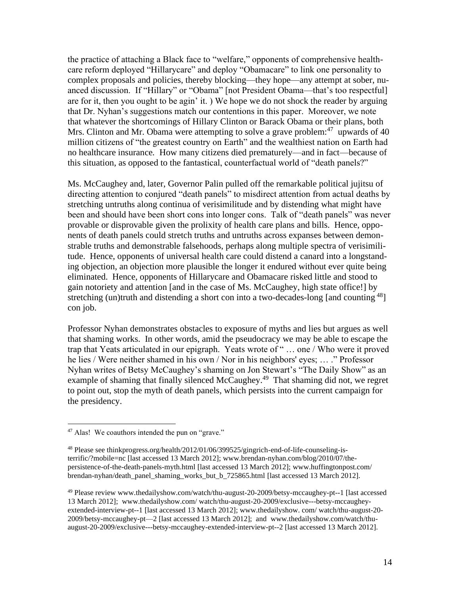the practice of attaching a Black face to "welfare," opponents of comprehensive healthcare reform deployed "Hillarycare" and deploy "Obamacare" to link one personality to complex proposals and policies, thereby blocking—they hope—any attempt at sober, nuanced discussion. If "Hillary" or "Obama" [not President Obama—that's too respectful] are for it, then you ought to be agin' it. ) We hope we do not shock the reader by arguing that Dr. Nyhan's suggestions match our contentions in this paper. Moreover, we note that whatever the shortcomings of Hillary Clinton or Barack Obama or their plans, both Mrs. Clinton and Mr. Obama were attempting to solve a grave problem: $47$  upwards of 40 million citizens of "the greatest country on Earth" and the wealthiest nation on Earth had no healthcare insurance*.* How many citizens died prematurely—and in fact—because of this situation, as opposed to the fantastical, counterfactual world of "death panels?"

Ms. McCaughey and, later, Governor Palin pulled off the remarkable political jujitsu of directing attention to conjured "death panels" to misdirect attention from actual deaths by stretching untruths along continua of verisimilitude and by distending what might have been and should have been short cons into longer cons. Talk of "death panels" was never provable or disprovable given the prolixity of health care plans and bills. Hence, opponents of death panels could stretch truths and untruths across expanses between demonstrable truths and demonstrable falsehoods, perhaps along multiple spectra of verisimilitude. Hence, opponents of universal health care could distend a canard into a longstanding objection, an objection more plausible the longer it endured without ever quite being eliminated. Hence, opponents of Hillarycare and Obamacare risked little and stood to gain notoriety and attention [and in the case of Ms. McCaughey, high state office!] by stretching (un)truth and distending a short con into a two-decades-long [and counting  $^{48}$ ] con job.

Professor Nyhan demonstrates obstacles to exposure of myths and lies but argues as well that shaming works. In other words, amid the pseudocracy we may be able to escape the trap that Yeats articulated in our epigraph. Yeats wrote of " … one / Who were it proved he lies / Were neither shamed in his own / Nor in his neighbors' eyes; … ." Professor Nyhan writes of Betsy McCaughey's shaming on Jon Stewart's "The Daily Show" as an example of shaming that finally silenced McCaughey.<sup>49</sup> That shaming did not, we regret to point out, stop the myth of death panels, which persists into the current campaign for the presidency.

<sup>47</sup> Alas! We coauthors intended the pun on "grave."

<sup>48</sup> Please see [thinkprogress.org/health/2012/01/06/399525/gingrich-end-of-life-counseling-is](http://thinkprogress.org/health/2012/01/06/399525/gingrich-end-of-life-counseling-is-terrific/?mobile=nc)[terrific/?mobile=nc](http://thinkprogress.org/health/2012/01/06/399525/gingrich-end-of-life-counseling-is-terrific/?mobile=nc) [last accessed 13 March 2012][; www.brendan-nyhan.com/blog/2010/07/the](http://www.brendan-nyhan.com/blog/2010/07/the-persistence-of-the-death-panels-myth.html)[persistence-of-the-death-panels-myth.html](http://www.brendan-nyhan.com/blog/2010/07/the-persistence-of-the-death-panels-myth.html) [last accessed 13 March 2012][; www.huffingtonpost.com/](http://www.huffingtonpost.com/brendan-nyhan/death_panel_shaming_works_but_b_725865.html)  [brendan-nyhan/death\\_panel\\_shaming\\_works\\_but\\_b\\_725865.html](http://www.huffingtonpost.com/brendan-nyhan/death_panel_shaming_works_but_b_725865.html) [last accessed 13 March 2012].

<sup>49</sup> Please revie[w www.thedailyshow.com/watch/thu-august-20-2009/betsy-mccaughey-pt--1](http://www.thedailyshow.com/watch/thu-august-20-2009/betsy-mccaughey-pt--1) [last accessed 13 March 2012]; [www.thedailyshow.com/ watch/thu-august-20-2009/exclusive---betsy-mccaughey](http://www.thedailyshow.com/watch/thu-august-20-2009/exclusive---betsy-mccaughey-extended-interview-pt--1)[extended-interview-pt--1](http://www.thedailyshow.com/watch/thu-august-20-2009/exclusive---betsy-mccaughey-extended-interview-pt--1) [last accessed 13 March 2012]; www.thedailyshow. com/ watch/thu-august-20- 2009/betsy-mccaughey-pt—2 [last accessed 13 March 2012]; and [www.thedailyshow.com/watch/thu](http://www.thedailyshow.com/watch/thu-august-20-2009/exclusive---betsy-mccaughey-extended-interview-pt--2)[august-20-2009/exclusive---betsy-mccaughey-extended-interview-pt--2](http://www.thedailyshow.com/watch/thu-august-20-2009/exclusive---betsy-mccaughey-extended-interview-pt--2) [last accessed 13 March 2012].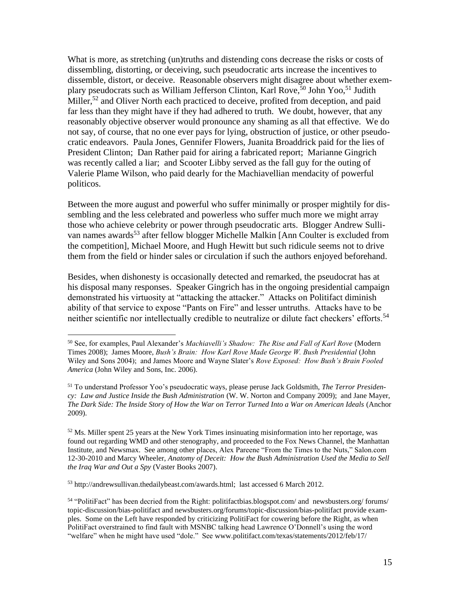What is more, as stretching (un)truths and distending cons decrease the risks or costs of dissembling, distorting, or deceiving, such pseudocratic arts increase the incentives to dissemble, distort, or deceive. Reasonable observers might disagree about whether exemplary pseudocrats such as William Jefferson Clinton, Karl Rove,<sup>50</sup> John Yoo,<sup>51</sup> Judith Miller,<sup>52</sup> and Oliver North each practiced to deceive, profited from deception, and paid far less than they might have if they had adhered to truth. We doubt, however, that any reasonably objective observer would pronounce any shaming as all that effective. We do not say, of course, that no one ever pays for lying, obstruction of justice, or other pseudocratic endeavors. Paula Jones, Gennifer Flowers, Juanita Broaddrick paid for the lies of President Clinton; Dan Rather paid for airing a fabricated report; Marianne Gingrich was recently called a liar; and Scooter Libby served as the fall guy for the outing of Valerie Plame Wilson, who paid dearly for the Machiavellian mendacity of powerful politicos.

Between the more august and powerful who suffer minimally or prosper mightily for dissembling and the less celebrated and powerless who suffer much more we might array those who achieve celebrity or power through pseudocratic arts. Blogger Andrew Sullivan names awards<sup>53</sup> after fellow blogger Michelle Malkin [Ann Coulter is excluded from the competition], Michael Moore, and Hugh Hewitt but such ridicule seems not to drive them from the field or hinder sales or circulation if such the authors enjoyed beforehand.

Besides, when dishonesty is occasionally detected and remarked, the pseudocrat has at his disposal many responses. Speaker Gingrich has in the ongoing presidential campaign demonstrated his virtuosity at "attacking the attacker." Attacks on Politifact diminish ability of that service to expose "Pants on Fire" and lesser untruths. Attacks have to be neither scientific nor intellectually credible to neutralize or dilute fact checkers' efforts.<sup>54</sup>

<sup>53</sup> http://andrewsullivan.thedailybeast.com/awards.html; last accessed 6 March 2012.

<sup>50</sup> See, for examples, Paul Alexander's *Machiavelli's Shadow: The Rise and Fall of Karl Rove* (Modern Times 2008); James Moore, *Bush's Brain: How Karl Rove Made George W. Bush Presidential* (John Wiley and Sons 2004); and James Moore and Wayne Slater's *Rove Exposed: How Bush's Brain Fooled America* (John Wiley and Sons, Inc. 2006).

<sup>51</sup> To understand Professor Yoo's pseudocratic ways, please peruse Jack Goldsmith, *The Terror Presidency: Law and Justice Inside the Bush Administration* (W. W. Norton and Company 2009); and Jane Mayer, *The Dark Side: The Inside Story of How the War on Terror Turned Into a War on American Ideals* (Anchor 2009).

 $52$  Ms. Miller spent 25 years at the New York Times insinuating misinformation into her reportage, was found out regarding WMD and other stenography, and proceeded to the Fox News Channel, the Manhattan Institute, and Newsmax. See among other places, Alex Pareene "From the Times to the Nuts," Salon.com 12-30-2010 and Marcy Wheeler, *Anatomy of Deceit: How the Bush Administration Used the Media to Sell the Iraq War and Out a Spy* (Vaster Books 2007).

<sup>54</sup> "PolitiFact" has been decried from the Right: [politifactbias.blogspot.com/](http://politifactbias.blogspot.com/) and [newsbusters.org/ forums/](http://newsbusters.org/forums/topic-discussion/bias-politifact)  [topic-discussion/bias-politifact](http://newsbusters.org/forums/topic-discussion/bias-politifact) [and newsbusters.org/forums/topic-discussion/bias-politifact](http://newsbusters.org/forums/topic-discussion/bias-politifact) provide examples. Some on the Left have responded by criticizing PolitiFact for cowering before the Right, as when PolitiFact overstrained to find fault with MSNBC talking head Lawrence O'Donnell's using the word "welfare" when he might have used "dole." See [www.politifact.com/texas/statements/2012/feb/17/](http://www.politifact.com/texas/statements/2012/feb/17/lawrence-odonnell/lawrence-odonnell-says-critics-called-original-gi-/)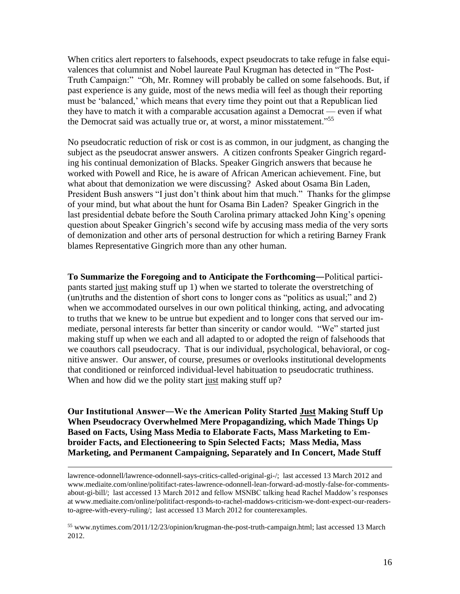When critics alert reporters to falsehoods, expect pseudocrats to take refuge in false equivalences that columnist and Nobel laureate Paul Krugman has detected in "The Post-Truth Campaign:" "Oh, Mr. Romney will probably be called on some falsehoods. But, if past experience is any guide, most of the news media will feel as though their reporting must be 'balanced,' which means that every time they point out that a Republican lied they have to match it with a comparable accusation against a Democrat — even if what the Democrat said was actually true or, at worst, a minor misstatement."<sup>55</sup>

No pseudocratic reduction of risk or cost is as common, in our judgment, as changing the subject as the pseudocrat answer answers. A citizen confronts Speaker Gingrich regarding his continual demonization of Blacks. Speaker Gingrich answers that because he worked with Powell and Rice, he is aware of African American achievement. Fine, but what about that demonization we were discussing? Asked about Osama Bin Laden, President Bush answers "I just don't think about him that much." Thanks for the glimpse of your mind, but what about the hunt for Osama Bin Laden? Speaker Gingrich in the last presidential debate before the South Carolina primary attacked John King's opening question about Speaker Gingrich's second wife by accusing mass media of the very sorts of demonization and other arts of personal destruction for which a retiring Barney Frank blames Representative Gingrich more than any other human.

**To Summarize the Foregoing and to Anticipate the Forthcoming**―Political participants started just making stuff up 1) when we started to tolerate the overstretching of (un)truths and the distention of short cons to longer cons as "politics as usual;" and 2) when we accommodated ourselves in our own political thinking, acting, and advocating to truths that we knew to be untrue but expedient and to longer cons that served our immediate, personal interests far better than sincerity or candor would. "We" started just making stuff up when we each and all adapted to or adopted the reign of falsehoods that we coauthors call pseudocracy. That is our individual, psychological, behavioral, or cognitive answer. Our answer, of course, presumes or overlooks institutional developments that conditioned or reinforced individual-level habituation to pseudocratic truthiness. When and how did we the polity start just making stuff up?

**Our Institutional Answer―We the American Polity Started Just Making Stuff Up When Pseudocracy Overwhelmed Mere Propagandizing, which Made Things Up Based on Facts, Using Mass Media to Elaborate Facts, Mass Marketing to Embroider Facts, and Electioneering to Spin Selected Facts; Mass Media, Mass Marketing, and Permanent Campaigning, Separately and In Concert, Made Stuff** 

[lawrence-odonnell/lawrence-odonnell-says-critics-called-original-gi-/;](http://www.politifact.com/texas/statements/2012/feb/17/lawrence-odonnell/lawrence-odonnell-says-critics-called-original-gi-/) last accessed 13 March 2012 and [www.mediaite.com/online/politifact-rates-lawrence-odonnell-lean-forward-ad-mostly-false-for-comments](http://www.mediaite.com/online/politifact-rates-lawrence-odonnell-lean-forward-ad-mostly-false-for-comments-about-gi-bill/)[about-gi-bill/;](http://www.mediaite.com/online/politifact-rates-lawrence-odonnell-lean-forward-ad-mostly-false-for-comments-about-gi-bill/) last accessed 13 March 2012 and fellow MSNBC talking head Rachel Maddow's responses a[t www.mediaite.com/online/politifact-responds-to-rachel-maddows-criticism-we-dont-expect-our-readers](http://www.mediaite.com/online/politifact-responds-to-rachel-maddows-criticism-we-dont-expect-our-readers-to-agree-with-every-ruling/)[to-agree-with-every-ruling/;](http://www.mediaite.com/online/politifact-responds-to-rachel-maddows-criticism-we-dont-expect-our-readers-to-agree-with-every-ruling/) last accessed 13 March 2012 for counterexamples.

<sup>55</sup> www.nytimes.com/2011/12/23/opinion/krugman-the-post-truth-campaign.html; last accessed 13 March 2012.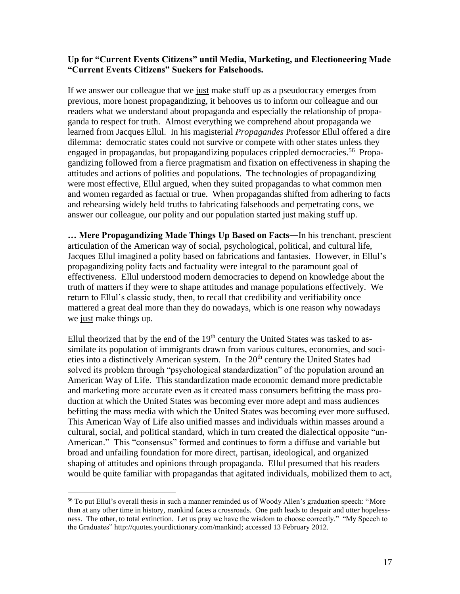#### **Up for "Current Events Citizens" until Media, Marketing, and Electioneering Made "Current Events Citizens" Suckers for Falsehoods.**

If we answer our colleague that we just make stuff up as a pseudocracy emerges from previous, more honest propagandizing, it behooves us to inform our colleague and our readers what we understand about propaganda and especially the relationship of propaganda to respect for truth. Almost everything we comprehend about propaganda we learned from Jacques Ellul. In his magisterial *Propagandes* Professor Ellul offered a dire dilemma: democratic states could not survive or compete with other states unless they engaged in propagandas, but propagandizing populaces crippled democracies.<sup>56</sup> Propagandizing followed from a fierce pragmatism and fixation on effectiveness in shaping the attitudes and actions of polities and populations. The technologies of propagandizing were most effective, Ellul argued, when they suited propagandas to what common men and women regarded as factual or true. When propagandas shifted from adhering to facts and rehearsing widely held truths to fabricating falsehoods and perpetrating cons, we answer our colleague, our polity and our population started just making stuff up.

**… Mere Propagandizing Made Things Up Based on Facts**―In his trenchant, prescient articulation of the American way of social, psychological, political, and cultural life, Jacques Ellul imagined a polity based on fabrications and fantasies. However, in Ellul's propagandizing polity facts and factuality were integral to the paramount goal of effectiveness. Ellul understood modern democracies to depend on knowledge about the truth of matters if they were to shape attitudes and manage populations effectively. We return to Ellul's classic study, then, to recall that credibility and verifiability once mattered a great deal more than they do nowadays, which is one reason why nowadays we just make things up.

Ellul theorized that by the end of the  $19<sup>th</sup>$  century the United States was tasked to assimilate its population of immigrants drawn from various cultures, economies, and societies into a distinctively American system. In the 20<sup>th</sup> century the United States had solved its problem through "psychological standardization" of the population around an American Way of Life. This standardization made economic demand more predictable and marketing more accurate even as it created mass consumers befitting the mass production at which the United States was becoming ever more adept and mass audiences befitting the mass media with which the United States was becoming ever more suffused. This American Way of Life also unified masses and individuals within masses around a cultural, social, and political standard, which in turn created the dialectical opposite "un-American." This "consensus" formed and continues to form a diffuse and variable but broad and unfailing foundation for more direct, partisan, ideological, and organized shaping of attitudes and opinions through propaganda. Ellul presumed that his readers would be quite familiar with propagandas that agitated individuals, mobilized them to act,

<sup>56</sup> To put Ellul's overall thesis in such a manner reminded us of Woody Allen's graduation speech: "More than at any other time in history, mankind faces a crossroads. One path leads to despair and utter hopelessness. The other, to total extinction. Let us pray we have the wisdom to choose correctly." "My Speech to the Graduates" [http://quotes.yourdictionary.com/mankind;](http://quotes.yourdictionary.com/mankind) accessed 13 February 2012.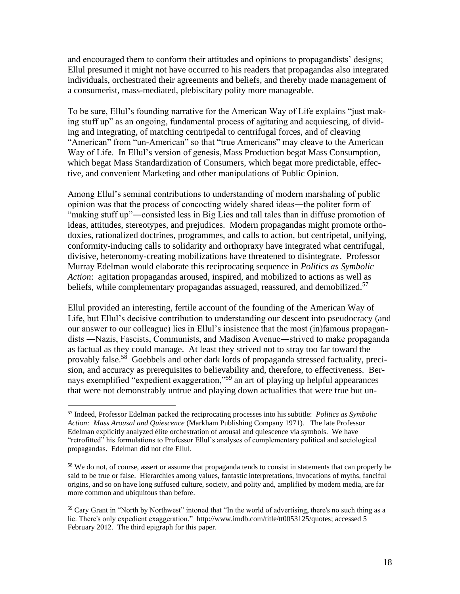and encouraged them to conform their attitudes and opinions to propagandists' designs; Ellul presumed it might not have occurred to his readers that propagandas also integrated individuals, orchestrated their agreements and beliefs, and thereby made management of a consumerist, mass-mediated, plebiscitary polity more manageable.

To be sure, Ellul's founding narrative for the American Way of Life explains "just making stuff up" as an ongoing, fundamental process of agitating and acquiescing, of dividing and integrating, of matching centripedal to centrifugal forces, and of cleaving "American" from "un-American" so that "true Americans" may cleave to the American Way of Life. In Ellul's version of genesis, Mass Production begat Mass Consumption, which begat Mass Standardization of Consumers, which begat more predictable, effective, and convenient Marketing and other manipulations of Public Opinion.

Among Ellul's seminal contributions to understanding of modern marshaling of public opinion was that the process of concocting widely shared ideas―the politer form of "making stuff up"―consisted less in Big Lies and tall tales than in diffuse promotion of ideas, attitudes, stereotypes, and prejudices. Modern propagandas might promote orthodoxies, rationalized doctrines, programmes, and calls to action, but centripetal, unifying, conformity-inducing calls to solidarity and orthopraxy have integrated what centrifugal, divisive, heteronomy-creating mobilizations have threatened to disintegrate. Professor Murray Edelman would elaborate this reciprocating sequence in *Politics as Symbolic Action*: agitation propagandas aroused, inspired, and mobilized to actions as well as beliefs, while complementary propagandas assuaged, reassured, and demobilized.<sup>57</sup>

Ellul provided an interesting, fertile account of the founding of the American Way of Life, but Ellul's decisive contribution to understanding our descent into pseudocracy (and our answer to our colleague) lies in Ellul's insistence that the most (in)famous propagandists ―Nazis, Fascists, Communists, and Madison Avenue―strived to make propaganda as factual as they could manage. At least they strived not to stray too far toward the provably false.<sup>58</sup> Goebbels and other dark lords of propaganda stressed factuality, precision, and accuracy as prerequisites to believability and, therefore, to effectiveness. Bernays exemplified "expedient exaggeration,"<sup>59</sup> an art of playing up helpful appearances that were not demonstrably untrue and playing down actualities that were true but un-

<sup>57</sup> Indeed, Professor Edelman packed the reciprocating processes into his subtitle: *Politics as Symbolic Action: Mass Arousal and Quiescence* (Markham Publishing Company 1971). The late Professor Edelman explicitly analyzed élite orchestration of arousal and quiescence via symbols. We have "retrofitted" his formulations to Professor Ellul's analyses of complementary political and sociological propagandas. Edelman did not cite Ellul.

<sup>&</sup>lt;sup>58</sup> We do not, of course, assert or assume that propaganda tends to consist in statements that can properly be said to be true or false. Hierarchies among values, fantastic interpretations, invocations of myths, fanciful origins, and so on have long suffused culture, society, and polity and, amplified by modern media, are far more common and ubiquitous than before.

 $59$  Cary Grant in "North by Northwest" intoned that "In the world of advertising, there's no such thing as a lie. There's only expedient exaggeration." [http://www.imdb.com/title/tt0053125/quotes;](http://www.imdb.com/title/tt0053125/quotes) accessed 5 February 2012. The third epigraph for this paper.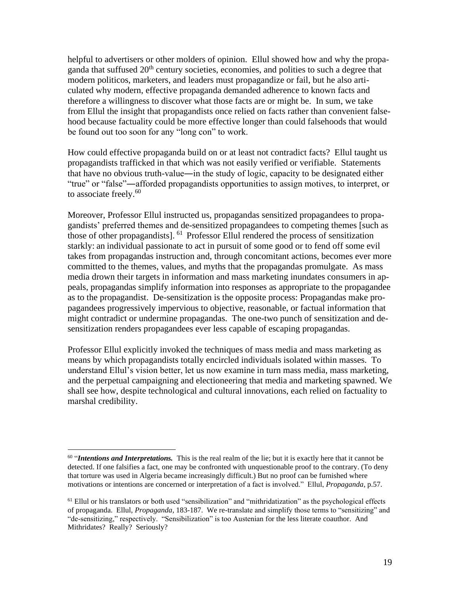helpful to advertisers or other molders of opinion. Ellul showed how and why the propaganda that suffused  $20<sup>th</sup>$  century societies, economies, and polities to such a degree that modern politicos, marketers, and leaders must propagandize or fail, but he also articulated why modern, effective propaganda demanded adherence to known facts and therefore a willingness to discover what those facts are or might be. In sum, we take from Ellul the insight that propagandists once relied on facts rather than convenient falsehood because factuality could be more effective longer than could falsehoods that would be found out too soon for any "long con" to work.

How could effective propaganda build on or at least not contradict facts? Ellul taught us propagandists trafficked in that which was not easily verified or verifiable. Statements that have no obvious truth-value―in the study of logic, capacity to be designated either "true" or "false"―afforded propagandists opportunities to assign motives, to interpret, or to associate freely.<sup>60</sup>

Moreover, Professor Ellul instructed us, propagandas sensitized propagandees to propagandists' preferred themes and de-sensitized propagandees to competing themes [such as those of other propagandists]. <sup>61</sup> Professor Ellul rendered the process of sensitization starkly: an individual passionate to act in pursuit of some good or to fend off some evil takes from propagandas instruction and, through concomitant actions, becomes ever more committed to the themes, values, and myths that the propagandas promulgate. As mass media drown their targets in information and mass marketing inundates consumers in appeals, propagandas simplify information into responses as appropriate to the propagandee as to the propagandist. De-sensitization is the opposite process: Propagandas make propagandees progressively impervious to objective, reasonable, or factual information that might contradict or undermine propagandas. The one-two punch of sensitization and desensitization renders propagandees ever less capable of escaping propagandas.

Professor Ellul explicitly invoked the techniques of mass media and mass marketing as means by which propagandists totally encircled individuals isolated within masses. To understand Ellul's vision better, let us now examine in turn mass media, mass marketing, and the perpetual campaigning and electioneering that media and marketing spawned. We shall see how, despite technological and cultural innovations, each relied on factuality to marshal credibility.

<sup>&</sup>lt;sup>60</sup> "**Intentions and Interpretations.** This is the real realm of the lie; but it is exactly here that it cannot be detected. If one falsifies a fact, one may be confronted with unquestionable proof to the contrary. (To deny that torture was used in Algeria became increasingly difficult.) But no proof can be furnished where motivations or intentions are concerned or interpretation of a fact is involved." Ellul, *Propaganda*, p.57.

 $<sup>61</sup>$  Ellul or his translators or both used "sensibilization" and "mithridatization" as the psychological effects</sup> of propaganda. Ellul, *Propaganda*, 183-187. We re-translate and simplify those terms to "sensitizing" and "de-sensitizing," respectively. "Sensibilization" is too Austenian for the less literate coauthor. And Mithridates? Really? Seriously?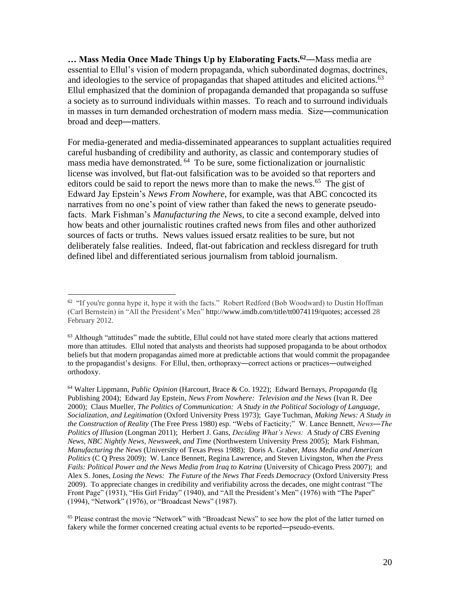**… Mass Media Once Made Things Up by Elaborating Facts.<sup>62</sup>―**Mass media are essential to Ellul's vision of modern propaganda, which subordinated dogmas, doctrines, and ideologies to the service of propagandas that shaped attitudes and elicited actions.<sup>63</sup> Ellul emphasized that the dominion of propaganda demanded that propaganda so suffuse a society as to surround individuals within masses. To reach and to surround individuals in masses in turn demanded orchestration of modern mass media. Size―communication broad and deep―matters.

For media-generated and media-disseminated appearances to supplant actualities required careful husbanding of credibility and authority, as classic and contemporary studies of mass media have demonstrated. <sup>64</sup> To be sure, some fictionalization or journalistic license was involved, but flat-out falsification was to be avoided so that reporters and editors could be said to report the news more than to make the news.<sup>65</sup> The gist of Edward Jay Epstein's *News From Nowhere*, for example, was that ABC concocted its narratives from no one's point of view rather than faked the news to generate pseudofacts. Mark Fishman's *Manufacturing the News*, to cite a second example, delved into how beats and other journalistic routines crafted news from files and other authorized sources of facts or truths. News values issued ersatz realities to be sure, but not deliberately false realities. Indeed, flat-out fabrication and reckless disregard for truth defined libel and differentiated serious journalism from tabloid journalism.

 $62$  "If you're gonna hype it, hype it with the facts." Robert Redford (Bob Woodward) to Dustin Hoffman (Carl Bernstein) in "All the President's Men" [http://www.imdb.com/title/tt0074119/quotes;](http://www.imdb.com/title/tt0074119/quotes) accessed 28 February 2012.

<sup>&</sup>lt;sup>63</sup> Although "attitudes" made the subtitle, Ellul could not have stated more clearly that actions mattered more than attitudes. Ellul noted that analysts and theorists had supposed propaganda to be about orthodox beliefs but that modern propagandas aimed more at predictable actions that would commit the propagandee to the propagandist's designs. For Ellul, then, orthopraxy―correct actions or practices―outweighed orthodoxy.

<sup>64</sup> Walter Lippmann, *Public Opinion* (Harcourt, Brace & Co. 1922); Edward Bernays, *Propaganda* (Ig Publishing 2004); Edward Jay Epstein, *News From Nowhere: Television and the News* (Ivan R. Dee 2000); Claus Mueller, *The Politics of Communication: A Study in the Political Sociology of Language, Socialization, and Legitimation* (Oxford University Press 1973); Gaye Tuchman, *Making News: A Study in the Construction of Reality* (The Free Press 1980) esp. "Webs of Facticity;" W. Lance Bennett, *News―The Politics of Illusion* (Longman 2011); Herbert J. Gans, *Deciding What's News: A Study of CBS Evening News, NBC Nightly News, Newsweek, and Time* (Northwestern University Press 2005); Mark Fishman, *Manufacturing the News* (University of Texas Press 1988); Doris A. Graber, *Mass Media and American Politics* (C Q Press 2009); W. Lance Bennett, Regina Lawrence, and Steven Livingston, *When the Press Fails: Political Power and the News Media from Iraq to Katrina* (University of Chicago Press 2007); and Alex S. Jones, *Losing the News: The Future of the News That Feeds Democracy* (Oxford University Press 2009). To appreciate changes in credibility and verifiability across the decades, one might contrast "The Front Page" (1931), "His Girl Friday" (1940), and "All the President's Men" (1976) with "The Paper" (1994), "Network" (1976), or "Broadcast News" (1987).

<sup>65</sup> Please contrast the movie "Network" with "Broadcast News" to see how the plot of the latter turned on fakery while the former concerned creating actual events to be reported―pseudo-events.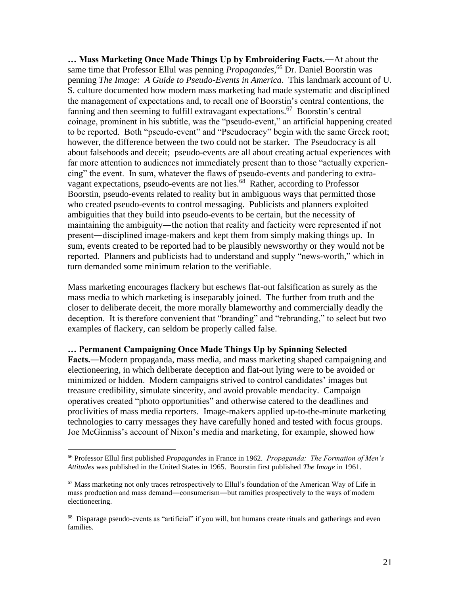**… Mass Marketing Once Made Things Up by Embroidering Facts.―**At about the same time that Professor Ellul was penning *Propagandes*, <sup>66</sup> Dr. Daniel Boorstin was penning *The Image: A Guide to Pseudo-Events in America*. This landmark account of U. S. culture documented how modern mass marketing had made systematic and disciplined the management of expectations and, to recall one of Boorstin's central contentions, the fanning and then seeming to fulfill extravagant expectations.<sup>67</sup> Boorstin's central coinage, prominent in his subtitle, was the "pseudo-event," an artificial happening created to be reported. Both "pseudo-event" and "Pseudocracy" begin with the same Greek root; however, the difference between the two could not be starker. The Pseudocracy is all about falsehoods and deceit; pseudo-events are all about creating actual experiences with far more attention to audiences not immediately present than to those "actually experiencing" the event. In sum, whatever the flaws of pseudo-events and pandering to extravagant expectations, pseudo-events are not lies.<sup>68</sup> Rather, according to Professor Boorstin, pseudo-events related to reality but in ambiguous ways that permitted those who created pseudo-events to control messaging. Publicists and planners exploited ambiguities that they build into pseudo-events to be certain, but the necessity of maintaining the ambiguity―the notion that reality and facticity were represented if not present―disciplined image-makers and kept them from simply making things up. In sum, events created to be reported had to be plausibly newsworthy or they would not be reported. Planners and publicists had to understand and supply "news-worth," which in turn demanded some minimum relation to the verifiable.

Mass marketing encourages flackery but eschews flat-out falsification as surely as the mass media to which marketing is inseparably joined. The further from truth and the closer to deliberate deceit, the more morally blameworthy and commercially deadly the deception. It is therefore convenient that "branding" and "rebranding," to select but two examples of flackery, can seldom be properly called false.

#### **… Permanent Campaigning Once Made Things Up by Spinning Selected**

**Facts.―**Modern propaganda, mass media, and mass marketing shaped campaigning and electioneering, in which deliberate deception and flat-out lying were to be avoided or minimized or hidden. Modern campaigns strived to control candidates' images but treasure credibility, simulate sincerity, and avoid provable mendacity. Campaign operatives created "photo opportunities" and otherwise catered to the deadlines and proclivities of mass media reporters. Image-makers applied up-to-the-minute marketing technologies to carry messages they have carefully honed and tested with focus groups. Joe McGinniss's account of Nixon's media and marketing, for example, showed how

<sup>66</sup> Professor Ellul first published *Propagandes* in France in 1962. *Propaganda: The Formation of Men's Attitudes* was published in the United States in 1965. Boorstin first published *The Image* in 1961.

 $67$  Mass marketing not only traces retrospectively to Ellul's foundation of the American Way of Life in mass production and mass demand―consumerism―but ramifies prospectively to the ways of modern electioneering.

<sup>&</sup>lt;sup>68</sup> Disparage pseudo-events as "artificial" if you will, but humans create rituals and gatherings and even families.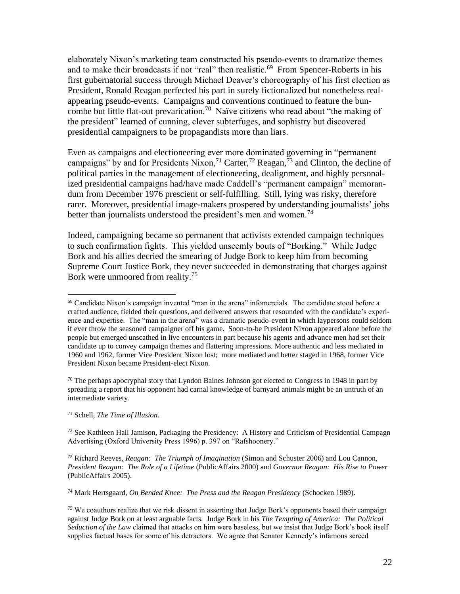elaborately Nixon's marketing team constructed his pseudo-events to dramatize themes and to make their broadcasts if not "real" then realistic.<sup>69</sup> From Spencer-Roberts in his first gubernatorial success through Michael Deaver's choreography of his first election as President, Ronald Reagan perfected his part in surely fictionalized but nonetheless realappearing pseudo-events. Campaigns and conventions continued to feature the buncombe but little flat-out prevarication.<sup>70</sup> Naïve citizens who read about "the making of the president" learned of cunning, clever subterfuges, and sophistry but discovered presidential campaigners to be propagandists more than liars.

Even as campaigns and electioneering ever more dominated governing in "permanent campaigns" by and for Presidents Nixon,<sup>71</sup> Carter,<sup>72</sup> Reagan,<sup>73</sup> and Clinton, the decline of political parties in the management of electioneering, dealignment, and highly personalized presidential campaigns had/have made Caddell's "permanent campaign" memorandum from December 1976 prescient or self-fulfilling. Still, lying was risky, therefore rarer. Moreover, presidential image-makers prospered by understanding journalists' jobs better than journalists understood the president's men and women.<sup>74</sup>

Indeed, campaigning became so permanent that activists extended campaign techniques to such confirmation fights. This yielded unseemly bouts of "Borking." While Judge Bork and his allies decried the smearing of Judge Bork to keep him from becoming Supreme Court Justice Bork, they never succeeded in demonstrating that charges against Bork were unmoored from reality.<sup>75</sup>

 $70$  The perhaps apocryphal story that Lyndon Baines Johnson got elected to Congress in 1948 in part by spreading a report that his opponent had carnal knowledge of barnyard animals might be an untruth of an intermediate variety.

<sup>71</sup> Schell, *The Time of Illusion*.

 $72$  See Kathleen Hall Jamison, Packaging the Presidency: A History and Criticism of Presidential Campagn Advertising (Oxford University Press 1996) p. 397 on "Rafshoonery."

<sup>73</sup> Richard Reeves, *Reagan: The Triumph of Imagination* (Simon and Schuster 2006) and Lou Cannon, *President Reagan: The Role of a Lifetime* (PublicAffairs 2000) and *Governor Reagan: His Rise to Power* (PublicAffairs 2005).

<sup>74</sup> Mark Hertsgaard, *On Bended Knee: The Press and the Reagan Presidency* (Schocken 1989).

 $75$  We coauthors realize that we risk dissent in asserting that Judge Bork's opponents based their campaign against Judge Bork on at least arguable facts. Judge Bork in his *The Tempting of America: The Political Seduction of the Law* claimed that attacks on him were baseless, but we insist that Judge Bork's book itself supplies factual bases for some of his detractors. We agree that Senator Kennedy's infamous screed

 $69$  Candidate Nixon's campaign invented "man in the arena" infomercials. The candidate stood before a crafted audience, fielded their questions, and delivered answers that resounded with the candidate's experience and expertise. The "man in the arena" was a dramatic pseudo-event in which laypersons could seldom if ever throw the seasoned campaigner off his game. Soon-to-be President Nixon appeared alone before the people but emerged unscathed in live encounters in part because his agents and advance men had set their candidate up to convey campaign themes and flattering impressions. More authentic and less mediated in 1960 and 1962, former Vice President Nixon lost; more mediated and better staged in 1968, former Vice President Nixon became President-elect Nixon.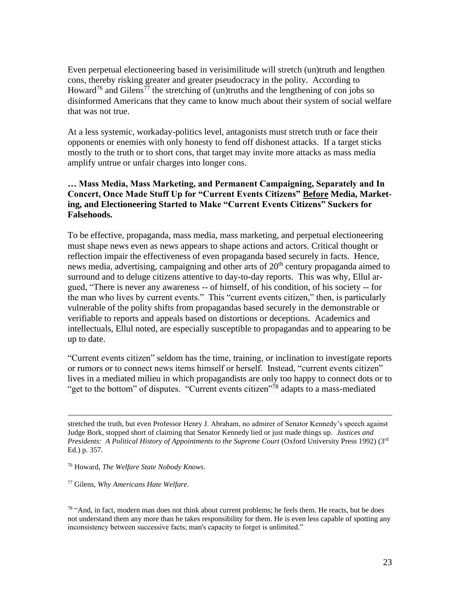Even perpetual electioneering based in verisimilitude will stretch (un)truth and lengthen cons, thereby risking greater and greater pseudocracy in the polity. According to Howard<sup>76</sup> and Gilens<sup>77</sup> the stretching of (un)truths and the lengthening of con jobs so disinformed Americans that they came to know much about their system of social welfare that was not true.

At a less systemic, workaday-politics level, antagonists must stretch truth or face their opponents or enemies with only honesty to fend off dishonest attacks. If a target sticks mostly to the truth or to short cons, that target may invite more attacks as mass media amplify untrue or unfair charges into longer cons.

#### **… Mass Media, Mass Marketing, and Permanent Campaigning, Separately and In Concert, Once Made Stuff Up for "Current Events Citizens" Before Media, Marketing, and Electioneering Started to Make "Current Events Citizens" Suckers for Falsehoods.**

To be effective, propaganda, mass media, mass marketing, and perpetual electioneering must shape news even as news appears to shape actions and actors. Critical thought or reflection impair the effectiveness of even propaganda based securely in facts. Hence, news media, advertising, campaigning and other arts of  $20<sup>th</sup>$  century propaganda aimed to surround and to deluge citizens attentive to day-to-day reports. This was why, Ellul argued, "There is never any awareness -- of himself, of his condition, of his society -- for the man who lives by current events." This "current events citizen," then, is particularly vulnerable of the polity shifts from propagandas based securely in the demonstrable or verifiable to reports and appeals based on distortions or deceptions. Academics and intellectuals, Ellul noted, are especially susceptible to propagandas and to appearing to be up to date.

"Current events citizen" seldom has the time, training, or inclination to investigate reports or rumors or to connect news items himself or herself. Instead, "current events citizen" lives in a mediated milieu in which propagandists are only too happy to connect dots or to "get to the bottom" of disputes. "Current events citizen"<sup>78</sup> adapts to a mass-mediated

stretched the truth, but even Professor Henry J. Abraham, no admirer of Senator Kennedy's speech against Judge Bork, stopped short of claiming that Senator Kennedy lied or just made things up. *Justices and Presidents: A Political History of Appointments to the Supreme Court* (Oxford University Press 1992) (3rd Ed.) p. 357.

<sup>76</sup> Howard, *The Welfare State Nobody Knows*.

<sup>77</sup> Gilens, *Why Americans Hate Welfare*.

<sup>78</sup> "And, in fact, modern man does not think about current problems; he feels them. He reacts, but be does not understand them any more than he takes responsibility for them. He is even less capable of spotting any inconsistency between successive facts; man's capacity to forget is unlimited."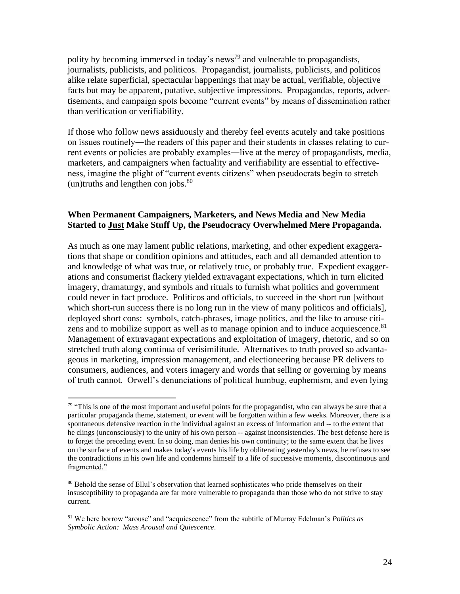polity by becoming immersed in today's news<sup>79</sup> and vulnerable to propagandists, journalists, publicists, and politicos. Propagandist, journalists, publicists, and politicos alike relate superficial, spectacular happenings that may be actual, verifiable, objective facts but may be apparent, putative, subjective impressions. Propagandas, reports, advertisements, and campaign spots become "current events" by means of dissemination rather than verification or verifiability.

If those who follow news assiduously and thereby feel events acutely and take positions on issues routinely―the readers of this paper and their students in classes relating to current events or policies are probably examples—live at the mercy of propagandists, media, marketers, and campaigners when factuality and verifiability are essential to effectiveness, imagine the plight of "current events citizens" when pseudocrats begin to stretch (un)truths and lengthen con jobs. $80$ 

#### **When Permanent Campaigners, Marketers, and News Media and New Media Started to Just Make Stuff Up, the Pseudocracy Overwhelmed Mere Propaganda.**

As much as one may lament public relations, marketing, and other expedient exaggerations that shape or condition opinions and attitudes, each and all demanded attention to and knowledge of what was true, or relatively true, or probably true. Expedient exaggerations and consumerist flackery yielded extravagant expectations, which in turn elicited imagery, dramaturgy, and symbols and rituals to furnish what politics and government could never in fact produce. Politicos and officials, to succeed in the short run [without which short-run success there is no long run in the view of many politicos and officials], deployed short cons: symbols, catch-phrases, image politics, and the like to arouse citizens and to mobilize support as well as to manage opinion and to induce acquiescence.<sup>81</sup> Management of extravagant expectations and exploitation of imagery, rhetoric, and so on stretched truth along continua of verisimilitude. Alternatives to truth proved so advantageous in marketing, impression management, and electioneering because PR delivers to consumers, audiences, and voters imagery and words that selling or governing by means of truth cannot. Orwell's denunciations of political humbug, euphemism, and even lying

<sup>&</sup>lt;sup>79</sup> "This is one of the most important and useful points for the propagandist, who can always be sure that a particular propaganda theme, statement, or event will be forgotten within a few weeks. Moreover, there is a spontaneous defensive reaction in the individual against an excess of information and -- to the extent that he clings (unconsciously) to the unity of his own person -- against inconsistencies. The best defense here is to forget the preceding event. In so doing, man denies his own continuity; to the same extent that he lives on the surface of events and makes today's events his life by obliterating yesterday's news, he refuses to see the contradictions in his own life and condemns himself to a life of successive moments, discontinuous and fragmented."

<sup>&</sup>lt;sup>80</sup> Behold the sense of Ellul's observation that learned sophisticates who pride themselves on their insusceptibility to propaganda are far more vulnerable to propaganda than those who do not strive to stay current.

<sup>81</sup> We here borrow "arouse" and "acquiescence" from the subtitle of Murray Edelman's *Politics as Symbolic Action: Mass Arousal and Quiescence*.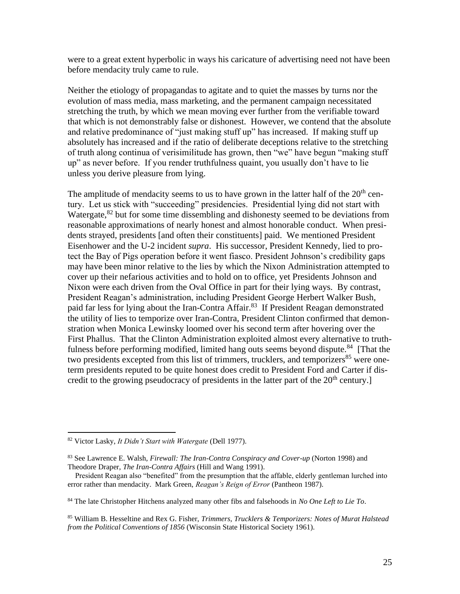were to a great extent hyperbolic in ways his caricature of advertising need not have been before mendacity truly came to rule.

Neither the etiology of propagandas to agitate and to quiet the masses by turns nor the evolution of mass media, mass marketing, and the permanent campaign necessitated stretching the truth, by which we mean moving ever further from the verifiable toward that which is not demonstrably false or dishonest. However, we contend that the absolute and relative predominance of "just making stuff up" has increased. If making stuff up absolutely has increased and if the ratio of deliberate deceptions relative to the stretching of truth along continua of verisimilitude has grown, then "we" have begun "making stuff up" as never before. If you render truthfulness quaint, you usually don't have to lie unless you derive pleasure from lying.

The amplitude of mendacity seems to us to have grown in the latter half of the  $20<sup>th</sup>$  century. Let us stick with "succeeding" presidencies. Presidential lying did not start with Watergate,  $82$  but for some time dissembling and dishonesty seemed to be deviations from reasonable approximations of nearly honest and almost honorable conduct. When presidents strayed, presidents [and often their constituents] paid. We mentioned President Eisenhower and the U-2 incident *supra*. His successor, President Kennedy, lied to protect the Bay of Pigs operation before it went fiasco. President Johnson's credibility gaps may have been minor relative to the lies by which the Nixon Administration attempted to cover up their nefarious activities and to hold on to office, yet Presidents Johnson and Nixon were each driven from the Oval Office in part for their lying ways. By contrast, President Reagan's administration, including President George Herbert Walker Bush, paid far less for lying about the Iran-Contra Affair.<sup>83</sup> If President Reagan demonstrated the utility of lies to temporize over Iran-Contra, President Clinton confirmed that demonstration when Monica Lewinsky loomed over his second term after hovering over the First Phallus. That the Clinton Administration exploited almost every alternative to truthfulness before performing modified, limited hang outs seems beyond dispute.<sup>84</sup> [That the two presidents excepted from this list of trimmers, trucklers, and temporizers<sup>85</sup> were oneterm presidents reputed to be quite honest does credit to President Ford and Carter if discredit to the growing pseudocracy of presidents in the latter part of the  $20<sup>th</sup>$  century.

<sup>82</sup> Victor Lasky, *It Didn't Start with Watergate* (Dell 1977).

<sup>83</sup> See Lawrence E. Walsh, *Firewall: The Iran-Contra Conspiracy and Cover-up* (Norton 1998) and Theodore Draper, *The Iran-Contra Affairs* (Hill and Wang 1991).

President Reagan also "benefited" from the presumption that the affable, elderly gentleman lurched into error rather than mendacity. Mark Green, *Reagan's Reign of Error* (Pantheon 1987).

<sup>84</sup> The late Christopher Hitchens analyzed many other fibs and falsehoods in *No One Left to Lie To*.

<sup>85</sup> William B. Hesseltine and Rex G. Fisher, *Trimmers, Trucklers & Temporizers: Notes of Murat Halstead from the Political Conventions of 1856* (Wisconsin State Historical Society 1961).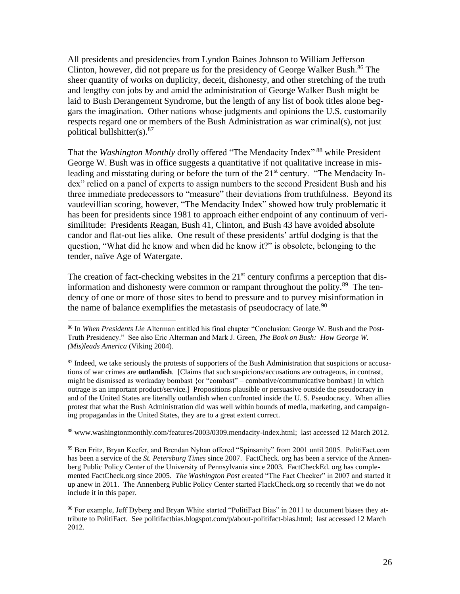All presidents and presidencies from Lyndon Baines Johnson to William Jefferson Clinton, however, did not prepare us for the presidency of George Walker Bush.<sup>86</sup> The sheer quantity of works on duplicity, deceit, dishonesty, and other stretching of the truth and lengthy con jobs by and amid the administration of George Walker Bush might be laid to Bush Derangement Syndrome, but the length of any list of book titles alone beggars the imagination. Other nations whose judgments and opinions the U.S. customarily respects regard one or members of the Bush Administration as war criminal(s), not just political bullshitter(s). $87$ 

That the *Washington Monthly* drolly offered "The Mendacity Index" <sup>88</sup> while President George W. Bush was in office suggests a quantitative if not qualitative increase in misleading and misstating during or before the turn of the  $21<sup>st</sup>$  century. "The Mendacity Index" relied on a panel of experts to assign numbers to the second President Bush and his three immediate predecessors to "measure" their deviations from truthfulness. Beyond its vaudevillian scoring, however, "The Mendacity Index" showed how truly problematic it has been for presidents since 1981 to approach either endpoint of any continuum of verisimilitude: Presidents Reagan, Bush 41, Clinton, and Bush 43 have avoided absolute candor and flat-out lies alike. One result of these presidents' artful dodging is that the question, "What did he know and when did he know it?" is obsolete, belonging to the tender, naïve Age of Watergate.

The creation of fact-checking websites in the  $21<sup>st</sup>$  century confirms a perception that disinformation and dishonesty were common or rampant throughout the polity.<sup>89</sup> The tendency of one or more of those sites to bend to pressure and to purvey misinformation in the name of balance exemplifies the metastasis of pseudocracy of late. $90$ 

<sup>88</sup> [www.washingtonmonthly.com/features/2003/0309.mendacity-index.html;](http://www.washingtonmonthly.com/features/2003/0309.mendacity-index.html) last accessed 12 March 2012.

<sup>89</sup> Ben Fritz, Bryan Keefer, and Brendan Nyhan offered "Spinsanity" from 2001 until 2005. PolitiFact.com has been a service of the *St. Petersburg Times* since 2007. FactCheck. org has been a service of the Annenberg Public Policy Center of the University of Pennsylvania since 2003. FactCheckEd. org has complemented FactCheck.org since 2005. *The Washington Post* created "The Fact Checker" in 2007 and started it up anew in 2011. The Annenberg Public Policy Center started [FlackCheck.org](http://www.flackcheck.org/) so recently that we do not include it in this paper.

<sup>86</sup> In *When Presidents Lie* Alterman entitled his final chapter "Conclusion: George W. Bush and the Post-Truth Presidency." See also Eric Alterman and Mark J. Green, *The Book on Bush: How George W. (Mis)leads America* (Viking 2004).

<sup>&</sup>lt;sup>87</sup> Indeed, we take seriously the protests of supporters of the Bush Administration that suspicions or accusations of war crimes are **outlandish**. [Claims that such suspicions/accusations are outrageous, in contrast, might be dismissed as workaday bombast {or "combast" – combative/communicative bombast} in which outrage is an important product/service.] Propositions plausible or persuasive outside the pseudocracy in and of the United States are literally outlandish when confronted inside the U. S. Pseudocracy. When allies protest that what the Bush Administration did was well within bounds of media, marketing, and campaigning propagandas in the United States, they are to a great extent correct.

 $90$  For example, Jeff Dyberg and Bryan White started "PolitiFact Bias" in 2011 to document biases they attribute to PolitiFact. See politifactbias.blogspot.com/p/about-politifact-bias.html; last accessed 12 March 2012.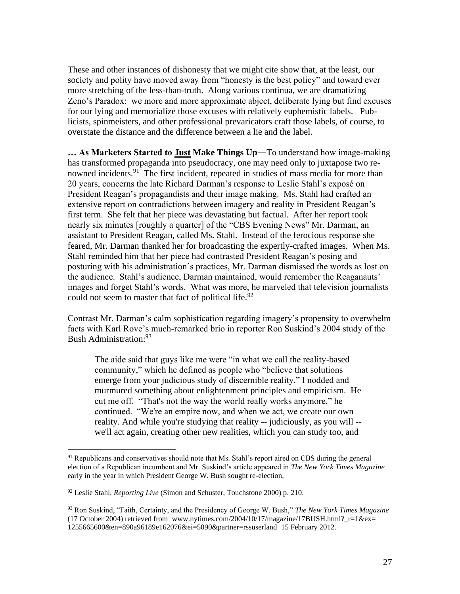These and other instances of dishonesty that we might cite show that, at the least, our society and polity have moved away from "honesty is the best policy" and toward ever more stretching of the less-than-truth. Along various continua, we are dramatizing Zeno's Paradox: we more and more approximate abject, deliberate lying but find excuses for our lying and memorialize those excuses with relatively euphemistic labels. Publicists, spinmeisters, and other professional prevaricators craft those labels, of course, to overstate the distance and the difference between a lie and the label.

**… As Marketers Started to Just Make Things Up**―To understand how image-making has transformed propaganda into pseudocracy, one may need only to juxtapose two renowned incidents.<sup>91</sup> The first incident, repeated in studies of mass media for more than 20 years, concerns the late Richard Darman's response to Leslie Stahl's exposé on President Reagan's propagandists and their image making. Ms. Stahl had crafted an extensive report on contradictions between imagery and reality in President Reagan's first term. She felt that her piece was devastating but factual. After her report took nearly six minutes [roughly a quarter] of the "CBS Evening News" Mr. Darman, an assistant to President Reagan, called Ms. Stahl. Instead of the ferocious response she feared, Mr. Darman thanked her for broadcasting the expertly-crafted images. When Ms. Stahl reminded him that her piece had contrasted President Reagan's posing and posturing with his administration's practices, Mr. Darman dismissed the words as lost on the audience. Stahl's audience, Darman maintained, would remember the Reaganauts' images and forget Stahl's words. What was more, he marveled that television journalists could not seem to master that fact of political life.<sup>92</sup>

Contrast Mr. Darman's calm sophistication regarding imagery's propensity to overwhelm facts with Karl Rove's much-remarked brio in reporter Ron Suskind's 2004 study of the Bush Administration:<sup>93</sup>

The aide said that guys like me were "in what we call the reality-based community," which he defined as people who "believe that solutions emerge from your judicious study of discernible reality." I nodded and murmured something about enlightenment principles and empiricism. He cut me off. "That's not the way the world really works anymore," he continued. "We're an empire now, and when we act, we create our own reality. And while you're studying that reality -- judiciously, as you will - we'll act again, creating other new realities, which you can study too, and

 $91$  Republicans and conservatives should note that Ms. Stahl's report aired on CBS during the general election of a Republican incumbent and Mr. Suskind's article appeared in *The New York Times Magazine* early in the year in which President George W. Bush sought re-election,

<sup>92</sup> Leslie Stahl, *Reporting Live* (Simon and Schuster, Touchstone 2000) p. 210.

<sup>93</sup> Ron Suskind, "Faith, Certainty, and the Presidency of George W. Bush," *The New York Times Magazine* (17 October 2004) retrieved from [www.nytimes.com/2004/10/17/magazine/17BUSH.html?\\_r=1&ex=](http://www.nytimes.com/2004/10/17/magazine/17BUSH.html?_r=1&ex=1255665600&en=890a96189e162076&ei=5090&partner=rssuserland)  [1255665600&en=890a96189e162076&ei=5090&partner=rssuserland](http://www.nytimes.com/2004/10/17/magazine/17BUSH.html?_r=1&ex=1255665600&en=890a96189e162076&ei=5090&partner=rssuserland) 15 February 2012.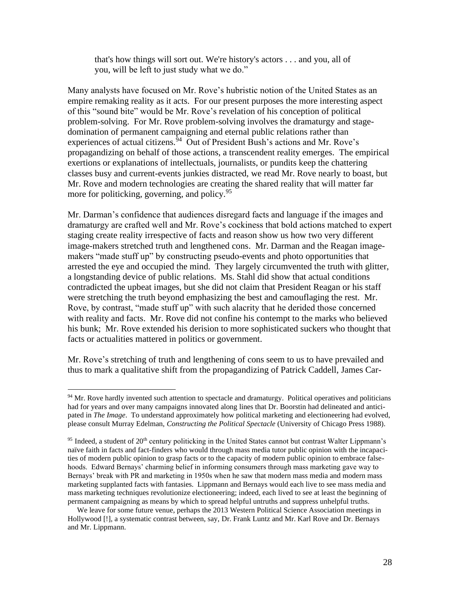that's how things will sort out. We're history's actors . . . and you, all of you, will be left to just study what we do."

Many analysts have focused on Mr. Rove's hubristic notion of the United States as an empire remaking reality as it acts. For our present purposes the more interesting aspect of this "sound bite" would be Mr. Rove's revelation of his conception of political problem-solving. For Mr. Rove problem-solving involves the dramaturgy and stagedomination of permanent campaigning and eternal public relations rather than experiences of actual citizens.<sup>94</sup> Out of President Bush's actions and Mr. Rove's propagandizing on behalf of those actions, a transcendent reality emerges. The empirical exertions or explanations of intellectuals, journalists, or pundits keep the chattering classes busy and current-events junkies distracted, we read Mr. Rove nearly to boast, but Mr. Rove and modern technologies are creating the shared reality that will matter far more for politicking, governing, and policy.<sup>95</sup>

Mr. Darman's confidence that audiences disregard facts and language if the images and dramaturgy are crafted well and Mr. Rove's cockiness that bold actions matched to expert staging create reality irrespective of facts and reason show us how two very different image-makers stretched truth and lengthened cons. Mr. Darman and the Reagan imagemakers "made stuff up" by constructing pseudo-events and photo opportunities that arrested the eye and occupied the mind. They largely circumvented the truth with glitter, a longstanding device of public relations. Ms. Stahl did show that actual conditions contradicted the upbeat images, but she did not claim that President Reagan or his staff were stretching the truth beyond emphasizing the best and camouflaging the rest. Mr. Rove, by contrast, "made stuff up" with such alacrity that he derided those concerned with reality and facts. Mr. Rove did not confine his contempt to the marks who believed his bunk; Mr. Rove extended his derision to more sophisticated suckers who thought that facts or actualities mattered in politics or government.

Mr. Rove's stretching of truth and lengthening of cons seem to us to have prevailed and thus to mark a qualitative shift from the propagandizing of Patrick Caddell, James Car-

<sup>&</sup>lt;sup>94</sup> Mr. Rove hardly invented such attention to spectacle and dramaturgy. Political operatives and politicians had for years and over many campaigns innovated along lines that Dr. Boorstin had delineated and anticipated in *The Image*. To understand approximately how political marketing and electioneering had evolved, please consult Murray Edelman, *Constructing the Political Spectacle* (University of Chicago Press 1988).

 $95$  Indeed, a student of 20<sup>th</sup> century politicking in the United States cannot but contrast Walter Lippmann's naïve faith in facts and fact-finders who would through mass media tutor public opinion with the incapacities of modern public opinion to grasp facts or to the capacity of modern public opinion to embrace falsehoods. Edward Bernays' charming belief in informing consumers through mass marketing gave way to Bernays' break with PR and marketing in 1950s when he saw that modern mass media and modern mass marketing supplanted facts with fantasies. Lippmann and Bernays would each live to see mass media and mass marketing techniques revolutionize electioneering; indeed, each lived to see at least the beginning of permanent campaigning as means by which to spread helpful untruths and suppress unhelpful truths.

We leave for some future venue, perhaps the 2013 Western Political Science Association meetings in Hollywood [!], a systematic contrast between, say, Dr. Frank Luntz and Mr. Karl Rove and Dr. Bernays and Mr. Lippmann.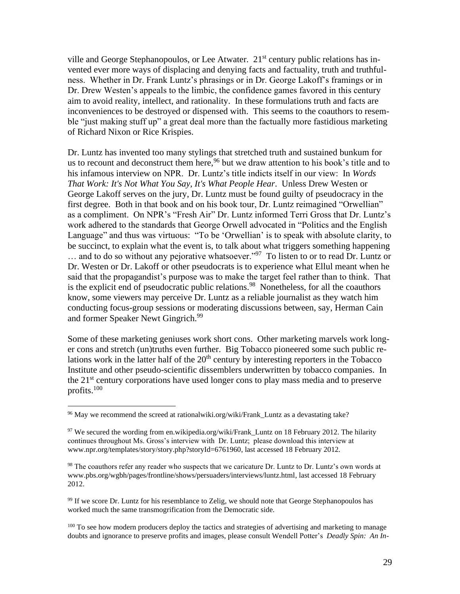ville and George Stephanopoulos, or Lee Atwater.  $21<sup>st</sup>$  century public relations has invented ever more ways of displacing and denying facts and factuality, truth and truthfulness. Whether in Dr. Frank Luntz's phrasings or in Dr. George Lakoff's framings or in Dr. Drew Westen's appeals to the limbic, the confidence games favored in this century aim to avoid reality, intellect, and rationality. In these formulations truth and facts are inconveniences to be destroyed or dispensed with. This seems to the coauthors to resemble "just making stuff up" a great deal more than the factually more fastidious marketing of Richard Nixon or Rice Krispies.

Dr. Luntz has invented too many stylings that stretched truth and sustained bunkum for us to recount and deconstruct them here,<sup>96</sup> but we draw attention to his book's title and to his infamous interview on NPR. Dr. Luntz's title indicts itself in our view: In *Words That Work: It's Not What You Say, It's What People Hear*. Unless Drew Westen or George Lakoff serves on the jury, Dr. Luntz must be found guilty of pseudocracy in the first degree. Both in that book and on his book tour, Dr. Luntz reimagined "Orwellian" as a compliment. On NPR's "Fresh Air" Dr. Luntz informed Terri Gross that Dr. Luntz's work adhered to the standards that George Orwell advocated in "Politics and the English Language" and thus was virtuous: "To be 'Orwellian' is to speak with absolute clarity, to be succinct, to explain what the event is, to talk about what triggers something happening ... and to do so without any pejorative whatsoever."<sup>97</sup> To listen to or to read Dr. Luntz or Dr. Westen or Dr. Lakoff or other pseudocrats is to experience what Ellul meant when he said that the propagandist's purpose was to make the target feel rather than to think. That is the explicit end of pseudocratic public relations.<sup>98</sup> Nonetheless, for all the coauthors know, some viewers may perceive Dr. Luntz as a reliable journalist as they watch him conducting focus-group sessions or moderating discussions between, say, Herman Cain and former Speaker Newt Gingrich.<sup>99</sup>

Some of these marketing geniuses work short cons. Other marketing marvels work longer cons and stretch (un)truths even further. Big Tobacco pioneered some such public relations work in the latter half of the  $20<sup>th</sup>$  century by interesting reporters in the Tobacco Institute and other pseudo-scientific dissemblers underwritten by tobacco companies. In the 21<sup>st</sup> century corporations have used longer cons to play mass media and to preserve profits. $100$ 

 $96$  May we recommend the screed at rationalwiki.org/wiki/Frank Luntz as a devastating take?

<sup>&</sup>lt;sup>97</sup> We secured the wording from [en.wikipedia.org/wiki/Frank\\_Luntz](http://en.wikipedia.org/wiki/Frank_Luntz) on 18 February 2012. The hilarity continues throughout Ms. Gross's interview with Dr. Luntz; please download this interview at [www.npr.org/templates/story/story.php?storyId=6761960,](http://www.npr.org/templates/story/story.php?storyId=6761960) last accessed 18 February 2012.

<sup>&</sup>lt;sup>98</sup> The coauthors refer any reader who suspects that we caricature Dr. Luntz to Dr. Luntz's own words at [www.pbs.org/wgbh/pages/frontline/shows/persuaders/interviews/luntz.html,](http://www.pbs.org/wgbh/pages/frontline/shows/persuaders/interviews/luntz.html) last accessed 18 February 2012.

<sup>&</sup>lt;sup>99</sup> If we score Dr. Luntz for his resemblance to Zelig, we should note that George Stephanopoulos has worked much the same transmogrification from the Democratic side.

 $100$  To see how modern producers deploy the tactics and strategies of advertising and marketing to manage doubts and ignorance to preserve profits and images, please consult Wendell Potter's *Deadly Spin: An In-*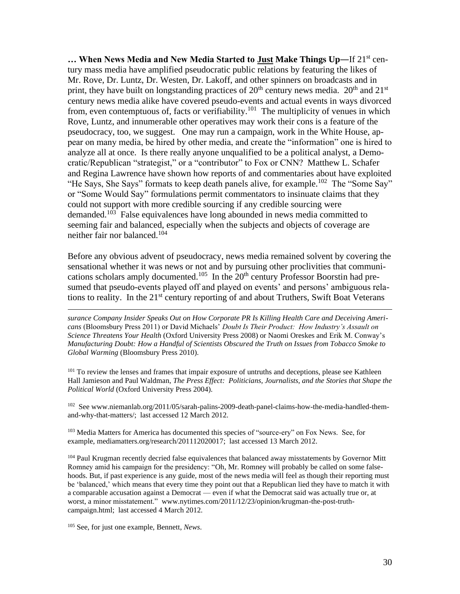**… When News Media and New Media Started to Just Make Things Up―**If 21st century mass media have amplified pseudocratic public relations by featuring the likes of Mr. Rove, Dr. Luntz, Dr. Westen, Dr. Lakoff, and other spinners on broadcasts and in print, they have built on longstanding practices of  $20<sup>th</sup>$  century news media.  $20<sup>th</sup>$  and  $21<sup>st</sup>$ century news media alike have covered pseudo-events and actual events in ways divorced from, even contemptuous of, facts or verifiability.<sup>101</sup> The multiplicity of venues in which Rove, Luntz, and innumerable other operatives may work their cons is a feature of the pseudocracy, too, we suggest. One may run a campaign, work in the White House, appear on many media, be hired by other media, and create the "information" one is hired to analyze all at once. Is there really anyone unqualified to be a political analyst, a Democratic/Republican "strategist," or a "contributor" to Fox or CNN? Matthew L. Schafer and Regina Lawrence have shown how reports of and commentaries about have exploited "He Says, She Says" formats to keep death panels alive, for example.<sup>102</sup> The "Some Say" or "Some Would Say" formulations permit commentators to insinuate claims that they could not support with more credible sourcing if any credible sourcing were demanded.<sup>103</sup> False equivalences have long abounded in news media committed to seeming fair and balanced, especially when the subjects and objects of coverage are neither fair nor balanced.<sup>104</sup>

Before any obvious advent of pseudocracy, news media remained solvent by covering the sensational whether it was news or not and by pursuing other proclivities that communications scholars amply documented.<sup>105</sup> In the  $20<sup>th</sup>$  century Professor Boorstin had presumed that pseudo-events played off and played on events' and persons' ambiguous relations to reality. In the  $21<sup>st</sup>$  century reporting of and about Truthers, Swift Boat Veterans

*surance Company Insider Speaks Out on How Corporate PR Is Killing Health Care and Deceiving Americans* (Bloomsbury Press 2011) or David Michaels' *Doubt Is Their Product: How Industry's Assault on Science Threatens Your Health* (Oxford University Press 2008) or Naomi Oreskes and Erik M. Conway's *Manufacturing Doubt: How a Handful of Scientists Obscured the Truth on Issues from Tobacco Smoke to Global Warming* (Bloomsbury Press 2010).

<sup>101</sup> To review the lenses and frames that impair exposure of untruths and deceptions, please see Kathleen Hall Jamieson and Paul Waldman, *The Press Effect: Politicians, Journalists, and the Stories that Shape the Political World* (Oxford University Press 2004).

<sup>102</sup> See www.niemanlab.org/2011/05/sarah-palins-2009-death-panel-claims-how-the-media-handled-themand-why-that-matters/; last accessed 12 March 2012.

<sup>103</sup> Media Matters for America has documented this species of "source-ery" on Fox News. See, for example, [mediamatters.org/research/201112020017;](http://mediamatters.org/research/201112020017) last accessed 13 March 2012.

<sup>104</sup> Paul Krugman recently decried false equivalences that balanced away misstatements by Governor Mitt Romney amid his campaign for the presidency: "Oh, Mr. Romney will probably be called on some falsehoods. But, if past experience is any guide, most of the news media will feel as though their reporting must be 'balanced,' which means that every time they point out that a Republican lied they have to match it with a comparable accusation against a Democrat — even if what the Democrat said was actually true or, at worst, a minor misstatement." [www.nytimes.com/2011/12/23/opinion/krugman-the-post-truth](http://www.nytimes.com/2011/12/23/opinion/krugman-the-post-truth-campaign.html)[campaign.html;](http://www.nytimes.com/2011/12/23/opinion/krugman-the-post-truth-campaign.html) last accessed 4 March 2012.

<sup>105</sup> See, for just one example, Bennett, *News*.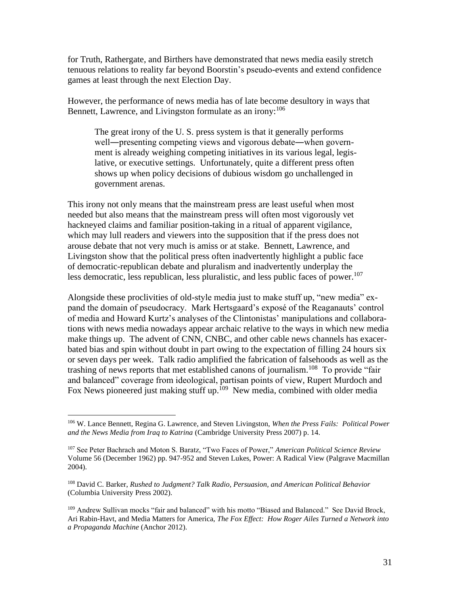for Truth, Rathergate, and Birthers have demonstrated that news media easily stretch tenuous relations to reality far beyond Boorstin's pseudo-events and extend confidence games at least through the next Election Day.

However, the performance of news media has of late become desultory in ways that Bennett, Lawrence, and Livingston formulate as an irony:<sup>106</sup>

The great irony of the U. S. press system is that it generally performs well—presenting competing views and vigorous debate—when government is already weighing competing initiatives in its various legal, legislative, or executive settings. Unfortunately, quite a different press often shows up when policy decisions of dubious wisdom go unchallenged in government arenas.

This irony not only means that the mainstream press are least useful when most needed but also means that the mainstream press will often most vigorously vet hackneyed claims and familiar position-taking in a ritual of apparent vigilance, which may lull readers and viewers into the supposition that if the press does not arouse debate that not very much is amiss or at stake. Bennett, Lawrence, and Livingston show that the political press often inadvertently highlight a public face of democratic-republican debate and pluralism and inadvertently underplay the less democratic, less republican, less pluralistic, and less public faces of power. $107$ 

Alongside these proclivities of old-style media just to make stuff up, "new media" expand the domain of pseudocracy. Mark Hertsgaard's exposé of the Reaganauts' control of media and Howard Kurtz's analyses of the Clintonistas' manipulations and collaborations with news media nowadays appear archaic relative to the ways in which new media make things up. The advent of CNN, CNBC, and other cable news channels has exacerbated bias and spin without doubt in part owing to the expectation of filling 24 hours six or seven days per week. Talk radio amplified the fabrication of falsehoods as well as the trashing of news reports that met established canons of journalism.<sup>108</sup> To provide "fair and balanced" coverage from ideological, partisan points of view, Rupert Murdoch and Fox News pioneered just making stuff up.<sup>109</sup> New media, combined with older media

<sup>106</sup> W. Lance Bennett, Regina G. Lawrence, and Steven Livingston, *When the Press Fails: Political Power and the News Media from Iraq to Katrina* (Cambridge University Press 2007) p. 14.

<sup>107</sup> See Peter Bachrach and Moton S. Baratz, "Two Faces of Power," *American Political Science Review* Volume 56 (December 1962) pp. 947-952 and Steven Lukes, Power: A Radical View (Palgrave Macmillan 2004).

<sup>108</sup> David C. Barker, *Rushed to Judgment? Talk Radio, Persuasion, and American Political Behavior* (Columbia University Press 2002).

<sup>109</sup> Andrew Sullivan mocks "fair and balanced" with his motto "Biased and Balanced." See David Brock, Ari Rabin-Havt, and Media Matters for America, *The Fox Effect: How Roger Ailes Turned a Network into a Propaganda Machine* (Anchor 2012).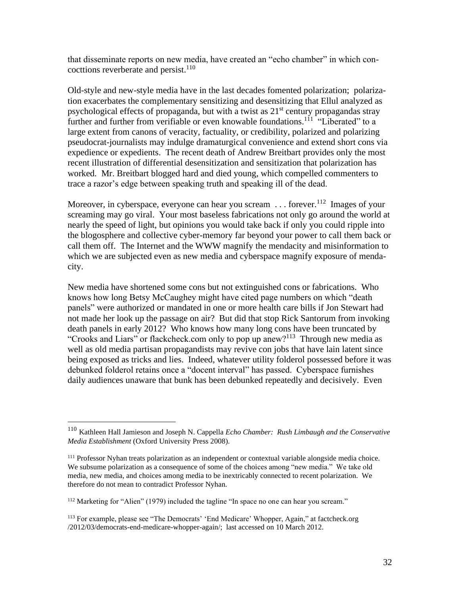that disseminate reports on new media, have created an "echo chamber" in which concocttions reverberate and persist.<sup>110</sup>

Old-style and new-style media have in the last decades fomented polarization; polarization exacerbates the complementary sensitizing and desensitizing that Ellul analyzed as psychological effects of propaganda, but with a twist as  $21<sup>st</sup>$  century propagandas stray further and further from verifiable or even knowable foundations.<sup>111</sup> "Liberated" to a large extent from canons of veracity, factuality, or credibility, polarized and polarizing pseudocrat-journalists may indulge dramaturgical convenience and extend short cons via expedience or expedients. The recent death of Andrew Breitbart provides only the most recent illustration of differential desensitization and sensitization that polarization has worked. Mr. Breitbart blogged hard and died young, which compelled commenters to trace a razor's edge between speaking truth and speaking ill of the dead.

Moreover, in cyberspace, everyone can hear you scream  $\ldots$  forever.<sup>112</sup> Images of your screaming may go viral. Your most baseless fabrications not only go around the world at nearly the speed of light, but opinions you would take back if only you could ripple into the blogosphere and collective cyber-memory far beyond your power to call them back or call them off. The Internet and the WWW magnify the mendacity and misinformation to which we are subjected even as new media and cyberspace magnify exposure of mendacity.

New media have shortened some cons but not extinguished cons or fabrications. Who knows how long Betsy McCaughey might have cited page numbers on which "death panels" were authorized or mandated in one or more health care bills if Jon Stewart had not made her look up the passage on air? But did that stop Rick Santorum from invoking death panels in early 2012? Who knows how many long cons have been truncated by "Crooks and Liars" or flackcheck.com only to pop up anew?<sup>113</sup> Through new media as well as old media partisan propagandists may revive con jobs that have lain latent since being exposed as tricks and lies. Indeed, whatever utility folderol possessed before it was debunked folderol retains once a "docent interval" has passed. Cyberspace furnishes daily audiences unaware that bunk has been debunked repeatedly and decisively. Even

<sup>110</sup> Kathleen Hall Jamieson and Joseph N. Cappella *Echo Chamber: Rush Limbaugh and the Conservative Media Establishment* (Oxford University Press 2008).

<sup>&</sup>lt;sup>111</sup> Professor Nyhan treats polarization as an independent or contextual variable alongside media choice. We subsume polarization as a consequence of some of the choices among "new media." We take old media, new media, and choices among media to be inextricably connected to recent polarization. We therefore do not mean to contradict Professor Nyhan.

<sup>&</sup>lt;sup>112</sup> Marketing for "Alien" (1979) included the tagline "In space no one can hear you scream."

<sup>113</sup> For example, please see "The Democrats' 'End Medicare' Whopper, Again," at factcheck.org /2012/03/democrats-end-medicare-whopper-again/; last accessed on 10 March 2012.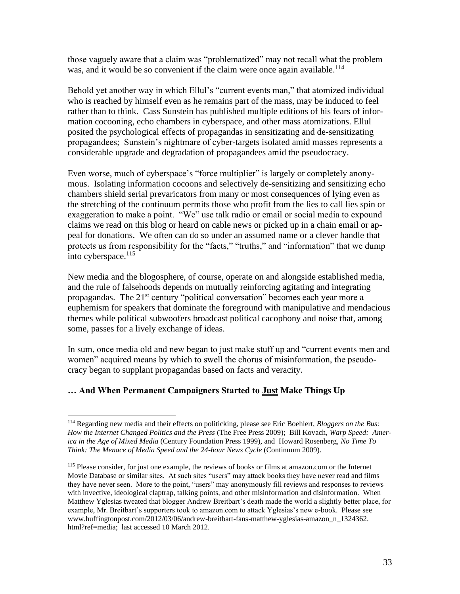those vaguely aware that a claim was "problematized" may not recall what the problem was, and it would be so convenient if the claim were once again available.<sup>114</sup>

Behold yet another way in which Ellul's "current events man," that atomized individual who is reached by himself even as he remains part of the mass, may be induced to feel rather than to think. Cass Sunstein has published multiple editions of his fears of information cocooning, echo chambers in cyberspace, and other mass atomizations. Ellul posited the psychological effects of propagandas in sensitizating and de-sensitizating propagandees; Sunstein's nightmare of cyber-targets isolated amid masses represents a considerable upgrade and degradation of propagandees amid the pseudocracy.

Even worse, much of cyberspace's "force multiplier" is largely or completely anonymous. Isolating information cocoons and selectively de-sensitizing and sensitizing echo chambers shield serial prevaricators from many or most consequences of lying even as the stretching of the continuum permits those who profit from the lies to call lies spin or exaggeration to make a point. "We" use talk radio or email or social media to expound claims we read on this blog or heard on cable news or picked up in a chain email or appeal for donations. We often can do so under an assumed name or a clever handle that protects us from responsibility for the "facts," "truths," and "information" that we dump into cyberspace.<sup>115</sup>

New media and the blogosphere, of course, operate on and alongside established media, and the rule of falsehoods depends on mutually reinforcing agitating and integrating propagandas. The  $21<sup>st</sup>$  century "political conversation" becomes each year more a euphemism for speakers that dominate the foreground with manipulative and mendacious themes while political subwoofers broadcast political cacophony and noise that, among some, passes for a lively exchange of ideas.

In sum, once media old and new began to just make stuff up and "current events men and women" acquired means by which to swell the chorus of misinformation, the pseudocracy began to supplant propagandas based on facts and veracity.

#### **… And When Permanent Campaigners Started to Just Make Things Up**

<sup>114</sup> Regarding new media and their effects on politicking, please see Eric Boehlert, *Bloggers on the Bus: How the Internet Changed Politics and the Press* (The Free Press 2009); Bill Kovach, *Warp Speed: America in the Age of Mixed Media* (Century Foundation Press 1999), and Howard Rosenberg, *No Time To Think: The Menace of Media Speed and the 24-hour News Cycle* (Continuum 2009).

<sup>115</sup> Please consider, for just one example, the reviews of books or films at amazon.com or the Internet Movie Database or similar sites. At such sites "users" may attack books they have never read and films they have never seen. More to the point, "users" may anonymously fill reviews and responses to reviews with invective, ideological claptrap, talking points, and other misinformation and disinformation. When Matthew Yglesias tweated that blogger Andrew Breitbart's death made the world a slightly better place, for example, Mr. Breitbart's supporters took to amazon.com to attack Yglesias's new e-book. Please see [www.huffingtonpost.com/2012/03/06/andrew-breitbart-fans-matthew-yglesias-amazon\\_n\\_1324362.](http://www.huffingtonpost.com/2012/03/06/andrew-breitbart-fans-matthew-yglesias-amazon_n_1324362.%20html?ref=media)  [html?ref=media;](http://www.huffingtonpost.com/2012/03/06/andrew-breitbart-fans-matthew-yglesias-amazon_n_1324362.%20html?ref=media) last accessed 10 March 2012.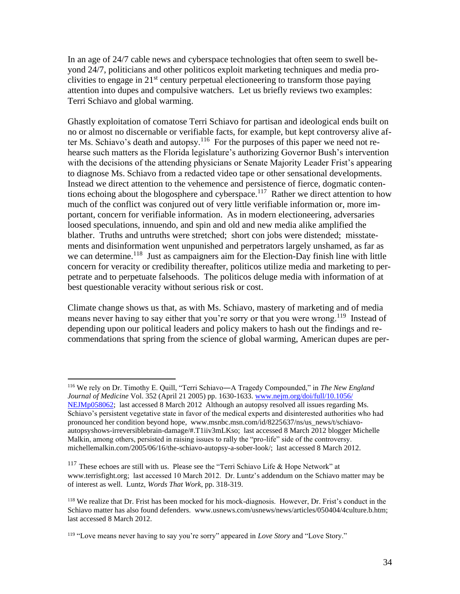In an age of 24/7 cable news and cyberspace technologies that often seem to swell beyond 24/7, politicians and other politicos exploit marketing techniques and media proclivities to engage in  $21<sup>st</sup>$  century perpetual electioneering to transform those paying attention into dupes and compulsive watchers. Let us briefly reviews two examples: Terri Schiavo and global warming.

Ghastly exploitation of comatose Terri Schiavo for partisan and ideological ends built on no or almost no discernable or verifiable facts, for example, but kept controversy alive after Ms. Schiavo's death and autopsy.<sup>116</sup> For the purposes of this paper we need not rehearse such matters as the Florida legislature's authorizing Governor Bush's intervention with the decisions of the attending physicians or Senate Majority Leader Frist's appearing to diagnose Ms. Schiavo from a redacted video tape or other sensational developments. Instead we direct attention to the vehemence and persistence of fierce, dogmatic contentions echoing about the blogosphere and cyberspace.<sup>117</sup> Rather we direct attention to how much of the conflict was conjured out of very little verifiable information or, more important, concern for verifiable information. As in modern electioneering, adversaries loosed speculations, innuendo, and spin and old and new media alike amplified the blather. Truths and untruths were stretched; short con jobs were distended; misstatements and disinformation went unpunished and perpetrators largely unshamed, as far as we can determine.<sup>118</sup> Just as campaigners aim for the Election-Day finish line with little concern for veracity or credibility thereafter, politicos utilize media and marketing to perpetrate and to perpetuate falsehoods. The politicos deluge media with information of at best questionable veracity without serious risk or cost.

Climate change shows us that, as with Ms. Schiavo, mastery of marketing and of media means never having to say either that you're sorry or that you were wrong.<sup>119</sup> Instead of depending upon our political leaders and policy makers to hash out the findings and recommendations that spring from the science of global warming, American dupes are per-

<sup>116</sup> We rely on Dr. Timothy E. Quill, "Terri Schiavo―A Tragedy Compounded," in *The New England Journal of Medicine* Vol. 352 (April 21 2005) pp. 1630-1633[. www.nejm.org/doi/full/10.1056/](http://www.nejm.org/doi/full/10.1056/%20NEJMp058062)  [NEJMp058062;](http://www.nejm.org/doi/full/10.1056/%20NEJMp058062) last accessed 8 March 2012 Although an autopsy resolved all issues regarding Ms. Schiavo's persistent vegetative state in favor of the medical experts and disinterested authorities who had pronounced her condition beyond hope, www.msnbc.msn.com/id/8225637/ns/us\_news/t/schiavoautopsyshows-irreversiblebrain-damage/#.T1iiv3mLKso; last accessed 8 March 2012 blogger Michelle Malkin, among others, persisted in raising issues to rally the "pro-life" side of the controversy. michellemalkin.com/2005/06/16/the-schiavo-autopsy-a-sober-look/; last accessed 8 March 2012.

<sup>&</sup>lt;sup>117</sup> These echoes are still with us. Please see the "Terri Schiavo Life & Hope Network" at [www.terrisfight.org;](http://www.terrisfight.org/) last accessed 10 March 2012. Dr. Luntz's addendum on the Schiavo matter may be of interest as well. Luntz, *Words That Work*, pp. 318-319.

<sup>&</sup>lt;sup>118</sup> We realize that Dr. Frist has been mocked for his mock-diagnosis. However, Dr. Frist's conduct in the Schiavo matter has also found defenders. www.usnews.com/usnews/news/articles/050404/4culture.b.htm; last accessed 8 March 2012.

<sup>119</sup> "Love means never having to say you're sorry" appeared in *Love Story* and "Love Story."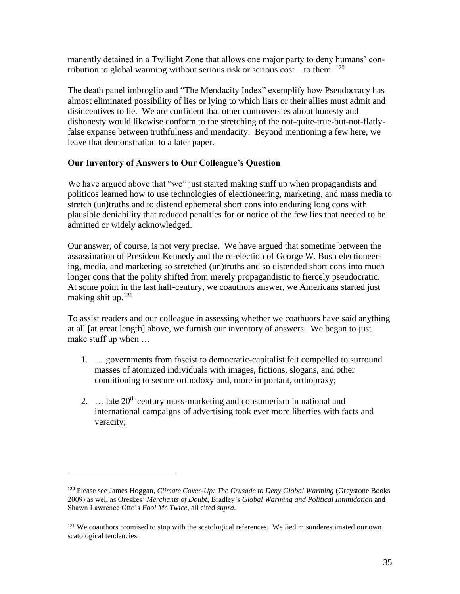manently detained in a Twilight Zone that allows one major party to deny humans' contribution to global warming without serious risk or serious cost—to them.  $120$ 

The death panel imbroglio and "The Mendacity Index" exemplify how Pseudocracy has almost eliminated possibility of lies or lying to which liars or their allies must admit and disincentives to lie. We are confident that other controversies about honesty and dishonesty would likewise conform to the stretching of the not-quite-true-but-not-flatlyfalse expanse between truthfulness and mendacity. Beyond mentioning a few here, we leave that demonstration to a later paper.

#### **Our Inventory of Answers to Our Colleague's Question**

We have argued above that "we" just started making stuff up when propagandists and politicos learned how to use technologies of electioneering, marketing, and mass media to stretch (un)truths and to distend ephemeral short cons into enduring long cons with plausible deniability that reduced penalties for or notice of the few lies that needed to be admitted or widely acknowledged.

Our answer, of course, is not very precise. We have argued that sometime between the assassination of President Kennedy and the re-election of George W. Bush electioneering, media, and marketing so stretched (un)truths and so distended short cons into much longer cons that the polity shifted from merely propagandistic to fiercely pseudocratic. At some point in the last half-century, we coauthors answer, we Americans started just making shit up.<sup>121</sup>

To assist readers and our colleague in assessing whether we coathuors have said anything at all [at great length] above, we furnish our inventory of answers. We began to just make stuff up when …

- 1. … governments from fascist to democratic-capitalist felt compelled to surround masses of atomized individuals with images, fictions, slogans, and other conditioning to secure orthodoxy and, more important, orthopraxy;
- 2.  $\ldots$  late 20<sup>th</sup> century mass-marketing and consumerism in national and international campaigns of advertising took ever more liberties with facts and veracity;

**<sup>120</sup>** Please see James Hoggan, *Climate Cover-Up: The Crusade to Deny Global Warming* (Greystone Books 2009) as well as Oreskes' *Merchants of Doubt*, Bradley's *Global Warming and Political Intimidation* and Shawn Lawrence Otto's *Fool Me Twice*, all cited *supra.*

<sup>&</sup>lt;sup>121</sup> We coauthors promised to stop with the scatological references. We lied misunderestimated our own scatological tendencies.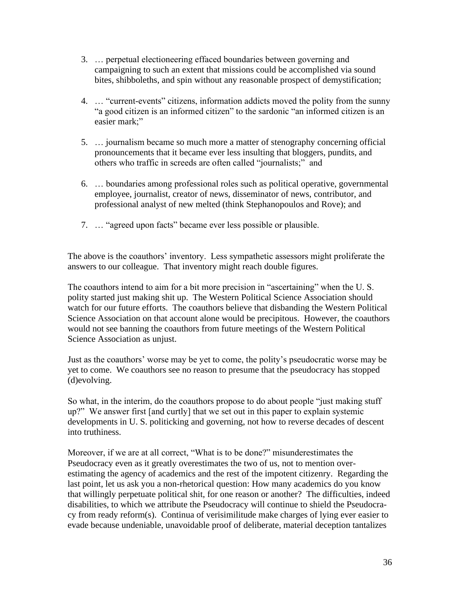- 3. … perpetual electioneering effaced boundaries between governing and campaigning to such an extent that missions could be accomplished via sound bites, shibboleths, and spin without any reasonable prospect of demystification;
- 4. … "current-events" citizens, information addicts moved the polity from the sunny "a good citizen is an informed citizen" to the sardonic "an informed citizen is an easier mark;"
- 5. … journalism became so much more a matter of stenography concerning official pronouncements that it became ever less insulting that bloggers, pundits, and others who traffic in screeds are often called "journalists;" and
- 6. … boundaries among professional roles such as political operative, governmental employee, journalist, creator of news, disseminator of news, contributor, and professional analyst of new melted (think Stephanopoulos and Rove); and
- 7. … "agreed upon facts" became ever less possible or plausible.

The above is the coauthors' inventory. Less sympathetic assessors might proliferate the answers to our colleague. That inventory might reach double figures.

The coauthors intend to aim for a bit more precision in "ascertaining" when the U. S. polity started just making shit up. The Western Political Science Association should watch for our future efforts. The coauthors believe that disbanding the Western Political Science Association on that account alone would be precipitous. However, the coauthors would not see banning the coauthors from future meetings of the Western Political Science Association as unjust.

Just as the coauthors' worse may be yet to come, the polity's pseudocratic worse may be yet to come. We coauthors see no reason to presume that the pseudocracy has stopped (d)evolving.

So what, in the interim, do the coauthors propose to do about people "just making stuff up?" We answer first [and curtly] that we set out in this paper to explain systemic developments in U. S. politicking and governing, not how to reverse decades of descent into truthiness.

Moreover, if we are at all correct, "What is to be done?" misunderestimates the Pseudocracy even as it greatly overestimates the two of us, not to mention overestimating the agency of academics and the rest of the impotent citizenry. Regarding the last point, let us ask you a non-rhetorical question: How many academics do you know that willingly perpetuate political shit, for one reason or another? The difficulties, indeed disabilities, to which we attribute the Pseudocracy will continue to shield the Pseudocracy from ready reform(s). Continua of verisimilitude make charges of lying ever easier to evade because undeniable, unavoidable proof of deliberate, material deception tantalizes